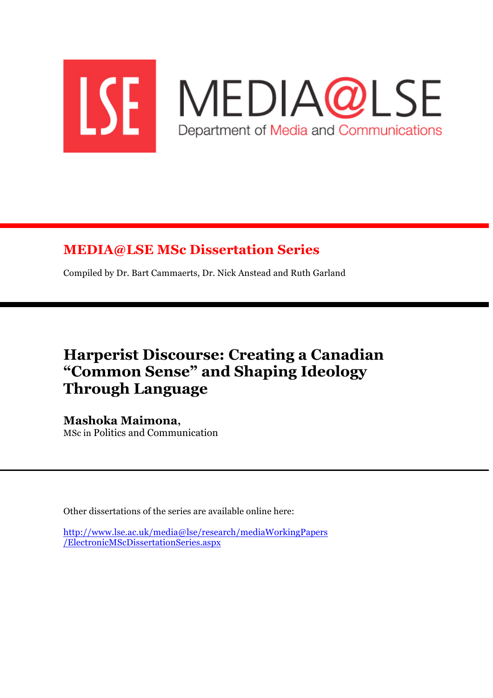

## **MEDIA@LSE MSc Dissertation Series**

Compiled by Dr. Bart Cammaerts, Dr. Nick Anstead and Ruth Garland

# **Harperist Discourse: Creating a Canadian "Common Sense" and Shaping Ideology Through Language**

## **Mashoka Maimona,**

MSc in Politics and Communication

Other dissertations of the series are available online here:

http://www.lse.ac.uk/media@lse/research/mediaWorkingPapers /ElectronicMScDissertationSeries.aspx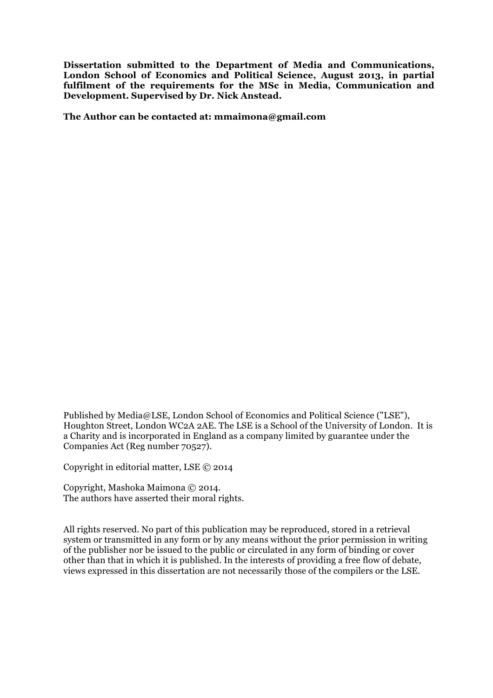**Dissertation submitted to the Department of Media and Communications, London School of Economics and Political Science, August 2013, in partial fulfilment of the requirements for the MSc in Media, Communication and Development. Supervised by Dr. Nick Anstead.**

**The Author can be contacted at: mmaimona@gmail.com**

Published by Media@LSE, London School of Economics and Political Science ("LSE"), Houghton Street, London WC2A 2AE. The LSE is a School of the University of London. It is a Charity and is incorporated in England as a company limited by guarantee under the Companies Act (Reg number 70527).

Copyright in editorial matter, LSE © 2014

Copyright, Mashoka Maimona © 2014. The authors have asserted their moral rights.

All rights reserved. No part of this publication may be reproduced, stored in a retrieval system or transmitted in any form or by any means without the prior permission in writing of the publisher nor be issued to the public or circulated in any form of binding or cover other than that in which it is published. In the interests of providing a free flow of debate, views expressed in this dissertation are not necessarily those of the compilers or the LSE.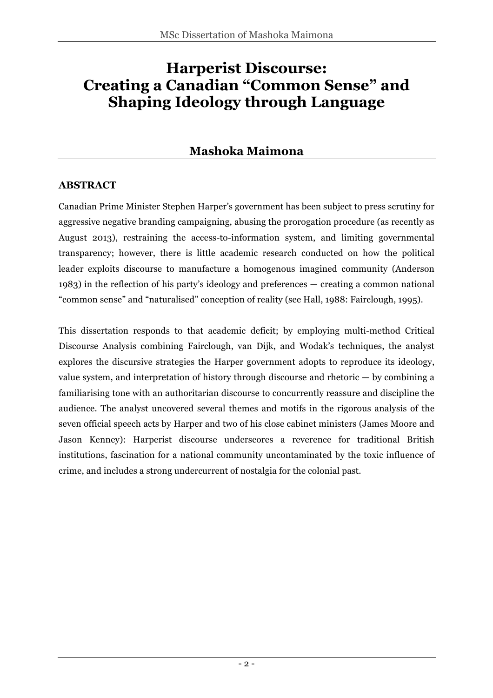# **Harperist Discourse: Creating a Canadian "Common Sense" and Shaping Ideology through Language**

## **Mashoka Maimona**

#### **ABSTRACT**

Canadian Prime Minister Stephen Harper's government has been subject to press scrutiny for aggressive negative branding campaigning, abusing the prorogation procedure (as recently as August 2013), restraining the access-to-information system, and limiting governmental transparency; however, there is little academic research conducted on how the political leader exploits discourse to manufacture a homogenous imagined community (Anderson 1983) in the reflection of his party's ideology and preferences — creating a common national "common sense" and "naturalised" conception of reality (see Hall, 1988: Fairclough, 1995).

This dissertation responds to that academic deficit; by employing multi-method Critical Discourse Analysis combining Fairclough, van Dijk, and Wodak's techniques, the analyst explores the discursive strategies the Harper government adopts to reproduce its ideology, value system, and interpretation of history through discourse and rhetoric — by combining a familiarising tone with an authoritarian discourse to concurrently reassure and discipline the audience. The analyst uncovered several themes and motifs in the rigorous analysis of the seven official speech acts by Harper and two of his close cabinet ministers (James Moore and Jason Kenney): Harperist discourse underscores a reverence for traditional British institutions, fascination for a national community uncontaminated by the toxic influence of crime, and includes a strong undercurrent of nostalgia for the colonial past.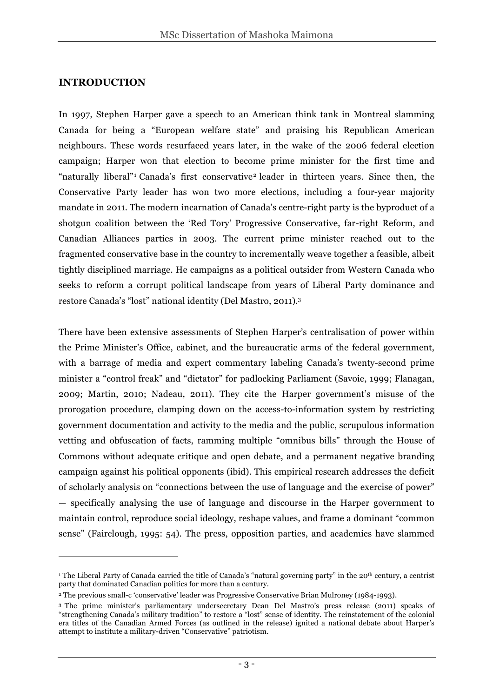#### **INTRODUCTION**

 $\overline{a}$ 

In 1997, Stephen Harper gave a speech to an American think tank in Montreal slamming Canada for being a "European welfare state" and praising his Republican American neighbours. These words resurfaced years later, in the wake of the 2006 federal election campaign; Harper won that election to become prime minister for the first time and "naturally liberal"<sup>1</sup> Canada's first conservative<sup>2</sup> leader in thirteen years. Since then, the Conservative Party leader has won two more elections, including a four-year majority mandate in 2011. The modern incarnation of Canada's centre-right party is the byproduct of a shotgun coalition between the 'Red Tory' Progressive Conservative, far-right Reform, and Canadian Alliances parties in 2003. The current prime minister reached out to the fragmented conservative base in the country to incrementally weave together a feasible, albeit tightly disciplined marriage. He campaigns as a political outsider from Western Canada who seeks to reform a corrupt political landscape from years of Liberal Party dominance and restore Canada's "lost" national identity (Del Mastro, 2011).3

There have been extensive assessments of Stephen Harper's centralisation of power within the Prime Minister's Office, cabinet, and the bureaucratic arms of the federal government, with a barrage of media and expert commentary labeling Canada's twenty-second prime minister a "control freak" and "dictator" for padlocking Parliament (Savoie, 1999; Flanagan, 2009; Martin, 2010; Nadeau, 2011). They cite the Harper government's misuse of the prorogation procedure, clamping down on the access-to-information system by restricting government documentation and activity to the media and the public, scrupulous information vetting and obfuscation of facts, ramming multiple "omnibus bills" through the House of Commons without adequate critique and open debate, and a permanent negative branding campaign against his political opponents (ibid). This empirical research addresses the deficit of scholarly analysis on "connections between the use of language and the exercise of power" — specifically analysing the use of language and discourse in the Harper government to maintain control, reproduce social ideology, reshape values, and frame a dominant "common sense" (Fairclough, 1995: 54). The press, opposition parties, and academics have slammed

<sup>&</sup>lt;sup>1</sup> The Liberal Party of Canada carried the title of Canada's "natural governing party" in the 20<sup>th</sup> century, a centrist party that dominated Canadian politics for more than a century.

<sup>2</sup> The previous small-c 'conservative' leader was Progressive Conservative Brian Mulroney (1984-1993).

<sup>3</sup> The prime minister's parliamentary undersecretary Dean Del Mastro's press release (2011) speaks of "strengthening Canada's military tradition" to restore a "lost" sense of identity. The reinstatement of the colonial era titles of the Canadian Armed Forces (as outlined in the release) ignited a national debate about Harper's attempt to institute a military-driven "Conservative" patriotism.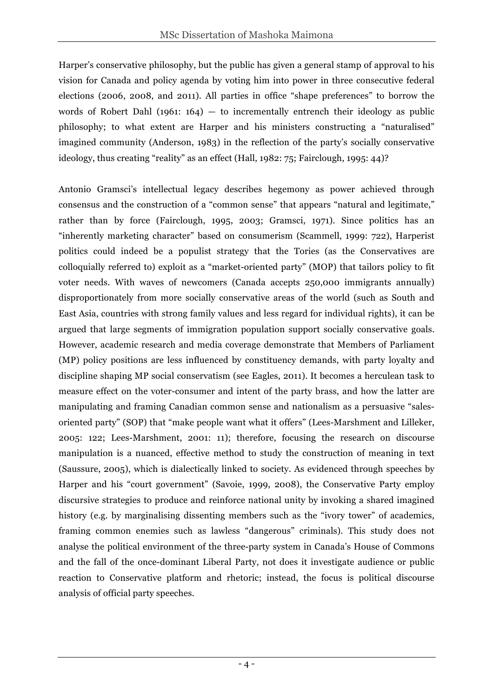Harper's conservative philosophy, but the public has given a general stamp of approval to his vision for Canada and policy agenda by voting him into power in three consecutive federal elections (2006, 2008, and 2011). All parties in office "shape preferences" to borrow the words of Robert Dahl (1961:  $164$ ) – to incrementally entrench their ideology as public philosophy; to what extent are Harper and his ministers constructing a "naturalised" imagined community (Anderson, 1983) in the reflection of the party's socially conservative ideology, thus creating "reality" as an effect (Hall, 1982: 75; Fairclough, 1995: 44)?

Antonio Gramsci's intellectual legacy describes hegemony as power achieved through consensus and the construction of a "common sense" that appears "natural and legitimate," rather than by force (Fairclough, 1995, 2003; Gramsci, 1971). Since politics has an "inherently marketing character" based on consumerism (Scammell, 1999: 722), Harperist politics could indeed be a populist strategy that the Tories (as the Conservatives are colloquially referred to) exploit as a "market-oriented party" (MOP) that tailors policy to fit voter needs. With waves of newcomers (Canada accepts 250,000 immigrants annually) disproportionately from more socially conservative areas of the world (such as South and East Asia, countries with strong family values and less regard for individual rights), it can be argued that large segments of immigration population support socially conservative goals. However, academic research and media coverage demonstrate that Members of Parliament (MP) policy positions are less influenced by constituency demands, with party loyalty and discipline shaping MP social conservatism (see Eagles, 2011). It becomes a herculean task to measure effect on the voter-consumer and intent of the party brass, and how the latter are manipulating and framing Canadian common sense and nationalism as a persuasive "salesoriented party" (SOP) that "make people want what it offers" (Lees-Marshment and Lilleker, 2005: 122; Lees-Marshment, 2001: 11); therefore, focusing the research on discourse manipulation is a nuanced, effective method to study the construction of meaning in text (Saussure, 2005), which is dialectically linked to society. As evidenced through speeches by Harper and his "court government" (Savoie, 1999, 2008), the Conservative Party employ discursive strategies to produce and reinforce national unity by invoking a shared imagined history (e.g. by marginalising dissenting members such as the "ivory tower" of academics, framing common enemies such as lawless "dangerous" criminals). This study does not analyse the political environment of the three-party system in Canada's House of Commons and the fall of the once-dominant Liberal Party, not does it investigate audience or public reaction to Conservative platform and rhetoric; instead, the focus is political discourse analysis of official party speeches.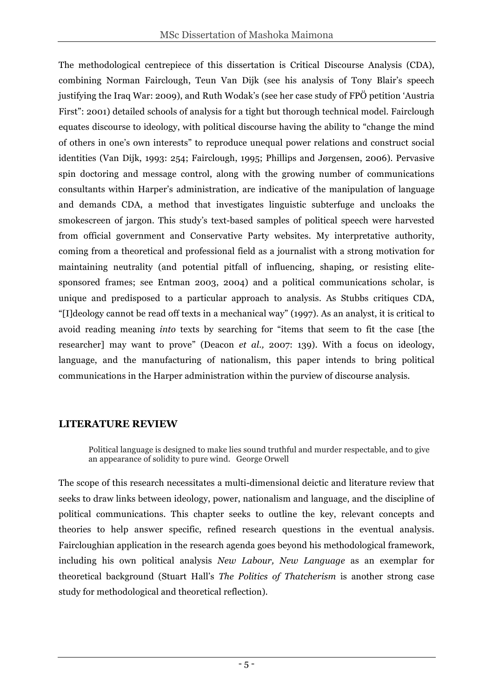The methodological centrepiece of this dissertation is Critical Discourse Analysis (CDA), combining Norman Fairclough, Teun Van Dijk (see his analysis of Tony Blair's speech justifying the Iraq War: 2009), and Ruth Wodak's (see her case study of FPÖ petition 'Austria First": 2001) detailed schools of analysis for a tight but thorough technical model. Fairclough equates discourse to ideology, with political discourse having the ability to "change the mind of others in one's own interests" to reproduce unequal power relations and construct social identities (Van Dijk, 1993: 254; Fairclough, 1995; Phillips and Jørgensen, 2006). Pervasive spin doctoring and message control, along with the growing number of communications consultants within Harper's administration, are indicative of the manipulation of language and demands CDA, a method that investigates linguistic subterfuge and uncloaks the smokescreen of jargon. This study's text-based samples of political speech were harvested from official government and Conservative Party websites. My interpretative authority, coming from a theoretical and professional field as a journalist with a strong motivation for maintaining neutrality (and potential pitfall of influencing, shaping, or resisting elitesponsored frames; see Entman 2003, 2004) and a political communications scholar, is unique and predisposed to a particular approach to analysis. As Stubbs critiques CDA, "[I]deology cannot be read off texts in a mechanical way" (1997). As an analyst, it is critical to avoid reading meaning *into* texts by searching for "items that seem to fit the case [the researcher] may want to prove" (Deacon *et al.,* 2007: 139). With a focus on ideology, language, and the manufacturing of nationalism, this paper intends to bring political communications in the Harper administration within the purview of discourse analysis.

## **LITERATURE REVIEW**

Political language is designed to make lies sound truthful and murder respectable, and to give an appearance of solidity to pure wind. George Orwell

The scope of this research necessitates a multi-dimensional deictic and literature review that seeks to draw links between ideology, power, nationalism and language, and the discipline of political communications. This chapter seeks to outline the key, relevant concepts and theories to help answer specific, refined research questions in the eventual analysis. Faircloughian application in the research agenda goes beyond his methodological framework, including his own political analysis *New Labour, New Language* as an exemplar for theoretical background (Stuart Hall's *The Politics of Thatcherism* is another strong case study for methodological and theoretical reflection).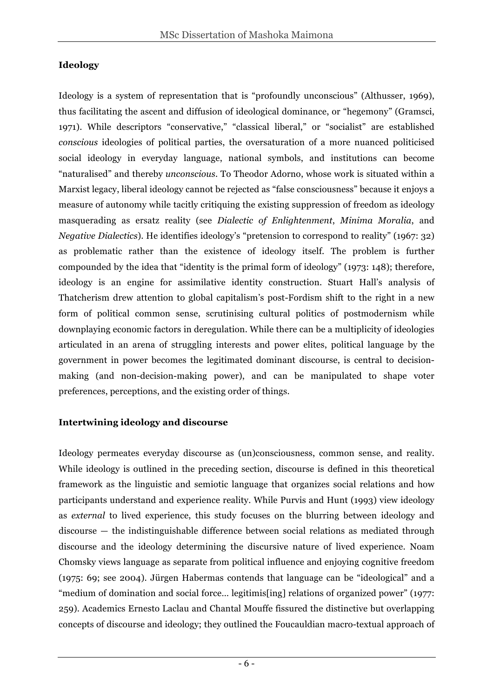### **Ideology**

Ideology is a system of representation that is "profoundly unconscious" (Althusser, 1969), thus facilitating the ascent and diffusion of ideological dominance, or "hegemony" (Gramsci, 1971). While descriptors "conservative," "classical liberal," or "socialist" are established *conscious* ideologies of political parties, the oversaturation of a more nuanced politicised social ideology in everyday language, national symbols, and institutions can become "naturalised" and thereby *unconscious*. To Theodor Adorno, whose work is situated within a Marxist legacy, liberal ideology cannot be rejected as "false consciousness" because it enjoys a measure of autonomy while tacitly critiquing the existing suppression of freedom as ideology masquerading as ersatz reality (see *Dialectic of Enlightenment*, *Minima Moralia*, and *Negative Dialectics*). He identifies ideology's "pretension to correspond to reality" (1967: 32) as problematic rather than the existence of ideology itself. The problem is further compounded by the idea that "identity is the primal form of ideology" (1973: 148); therefore, ideology is an engine for assimilative identity construction. Stuart Hall's analysis of Thatcherism drew attention to global capitalism's post-Fordism shift to the right in a new form of political common sense, scrutinising cultural politics of postmodernism while downplaying economic factors in deregulation. While there can be a multiplicity of ideologies articulated in an arena of struggling interests and power elites, political language by the government in power becomes the legitimated dominant discourse, is central to decisionmaking (and non-decision-making power), and can be manipulated to shape voter preferences, perceptions, and the existing order of things.

## **Intertwining ideology and discourse**

Ideology permeates everyday discourse as (un)consciousness, common sense, and reality. While ideology is outlined in the preceding section, discourse is defined in this theoretical framework as the linguistic and semiotic language that organizes social relations and how participants understand and experience reality. While Purvis and Hunt (1993) view ideology as *external* to lived experience, this study focuses on the blurring between ideology and discourse — the indistinguishable difference between social relations as mediated through discourse and the ideology determining the discursive nature of lived experience. Noam Chomsky views language as separate from political influence and enjoying cognitive freedom (1975: 69; see 2004). Jürgen Habermas contends that language can be "ideological" and a "medium of domination and social force… legitimis[ing] relations of organized power" (1977: 259). Academics Ernesto Laclau and Chantal Mouffe fissured the distinctive but overlapping concepts of discourse and ideology; they outlined the Foucauldian macro-textual approach of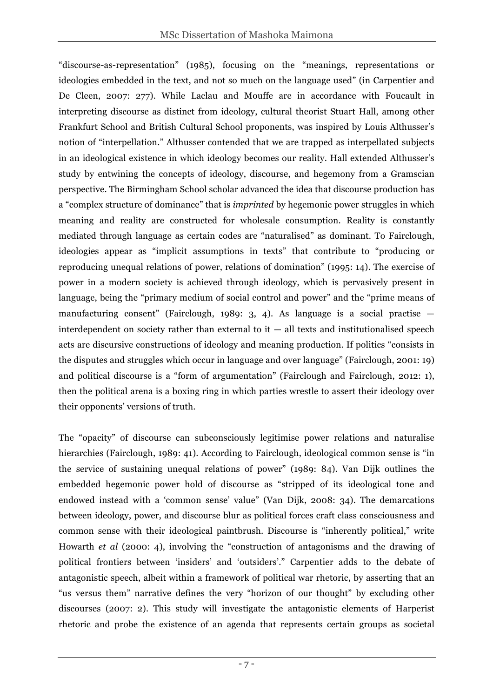"discourse-as-representation" (1985), focusing on the "meanings, representations or ideologies embedded in the text, and not so much on the language used" (in Carpentier and De Cleen, 2007: 277). While Laclau and Mouffe are in accordance with Foucault in interpreting discourse as distinct from ideology, cultural theorist Stuart Hall, among other Frankfurt School and British Cultural School proponents, was inspired by Louis Althusser's notion of "interpellation." Althusser contended that we are trapped as interpellated subjects in an ideological existence in which ideology becomes our reality. Hall extended Althusser's study by entwining the concepts of ideology, discourse, and hegemony from a Gramscian perspective. The Birmingham School scholar advanced the idea that discourse production has a "complex structure of dominance" that is *imprinted* by hegemonic power struggles in which meaning and reality are constructed for wholesale consumption. Reality is constantly mediated through language as certain codes are "naturalised" as dominant. To Fairclough, ideologies appear as "implicit assumptions in texts" that contribute to "producing or reproducing unequal relations of power, relations of domination" (1995: 14). The exercise of power in a modern society is achieved through ideology, which is pervasively present in language, being the "primary medium of social control and power" and the "prime means of manufacturing consent" (Fairclough, 1989: 3, 4). As language is a social practise interdependent on society rather than external to  $it - all$  texts and institutionalised speech acts are discursive constructions of ideology and meaning production. If politics "consists in the disputes and struggles which occur in language and over language" (Fairclough, 2001: 19) and political discourse is a "form of argumentation" (Fairclough and Fairclough, 2012: 1), then the political arena is a boxing ring in which parties wrestle to assert their ideology over their opponents' versions of truth.

The "opacity" of discourse can subconsciously legitimise power relations and naturalise hierarchies (Fairclough, 1989: 41). According to Fairclough, ideological common sense is "in the service of sustaining unequal relations of power" (1989: 84). Van Dijk outlines the embedded hegemonic power hold of discourse as "stripped of its ideological tone and endowed instead with a 'common sense' value" (Van Dijk, 2008: 34). The demarcations between ideology, power, and discourse blur as political forces craft class consciousness and common sense with their ideological paintbrush. Discourse is "inherently political," write Howarth *et al* (2000: 4), involving the "construction of antagonisms and the drawing of political frontiers between 'insiders' and 'outsiders'." Carpentier adds to the debate of antagonistic speech, albeit within a framework of political war rhetoric, by asserting that an "us versus them" narrative defines the very "horizon of our thought" by excluding other discourses (2007: 2). This study will investigate the antagonistic elements of Harperist rhetoric and probe the existence of an agenda that represents certain groups as societal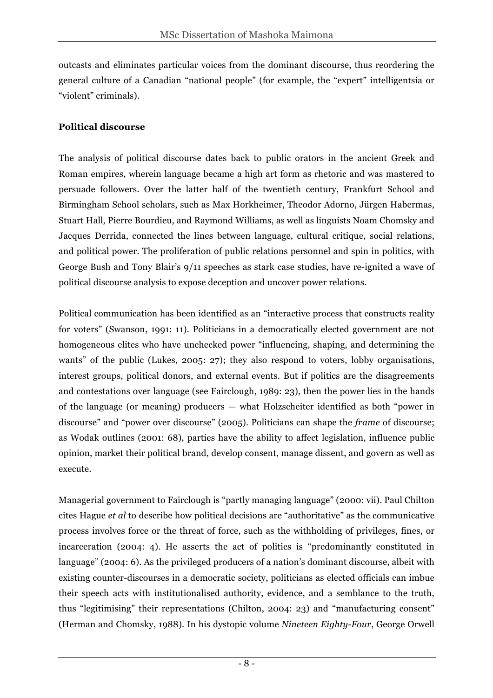outcasts and eliminates particular voices from the dominant discourse, thus reordering the general culture of a Canadian "national people" (for example, the "expert" intelligentsia or "violent" criminals).

#### **Political discourse**

The analysis of political discourse dates back to public orators in the ancient Greek and Roman empires, wherein language became a high art form as rhetoric and was mastered to persuade followers. Over the latter half of the twentieth century, Frankfurt School and Birmingham School scholars, such as Max Horkheimer, Theodor Adorno, Jürgen Habermas, Stuart Hall, Pierre Bourdieu, and Raymond Williams, as well as linguists Noam Chomsky and Jacques Derrida, connected the lines between language, cultural critique, social relations, and political power. The proliferation of public relations personnel and spin in politics, with George Bush and Tony Blair's 9/11 speeches as stark case studies, have re-ignited a wave of political discourse analysis to expose deception and uncover power relations.

Political communication has been identified as an "interactive process that constructs reality for voters" (Swanson, 1991: 11). Politicians in a democratically elected government are not homogeneous elites who have unchecked power "influencing, shaping, and determining the wants" of the public (Lukes, 2005: 27); they also respond to voters, lobby organisations, interest groups, political donors, and external events. But if politics are the disagreements and contestations over language (see Fairclough, 1989: 23), then the power lies in the hands of the language (or meaning) producers — what Holzscheiter identified as both "power in discourse" and "power over discourse" (2005). Politicians can shape the *frame* of discourse; as Wodak outlines (2001: 68), parties have the ability to affect legislation, influence public opinion, market their political brand, develop consent, manage dissent, and govern as well as execute.

Managerial government to Fairclough is "partly managing language" (2000: vii). Paul Chilton cites Hague *et al* to describe how political decisions are "authoritative" as the communicative process involves force or the threat of force, such as the withholding of privileges, fines, or incarceration (2004: 4). He asserts the act of politics is "predominantly constituted in language" (2004: 6). As the privileged producers of a nation's dominant discourse, albeit with existing counter-discourses in a democratic society, politicians as elected officials can imbue their speech acts with institutionalised authority, evidence, and a semblance to the truth, thus "legitimising" their representations (Chilton, 2004: 23) and "manufacturing consent" (Herman and Chomsky, 1988). In his dystopic volume *Nineteen Eighty-Four*, George Orwell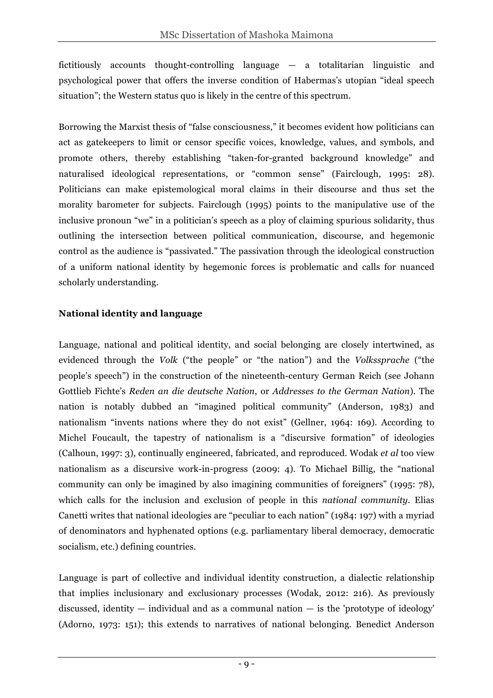fictitiously accounts thought-controlling language — a totalitarian linguistic and psychological power that offers the inverse condition of Habermas's utopian "ideal speech situation"; the Western status quo is likely in the centre of this spectrum.

Borrowing the Marxist thesis of "false consciousness," it becomes evident how politicians can act as gatekeepers to limit or censor specific voices, knowledge, values, and symbols, and promote others, thereby establishing "taken-for-granted background knowledge" and naturalised ideological representations, or "common sense" (Fairclough, 1995: 28). Politicians can make epistemological moral claims in their discourse and thus set the morality barometer for subjects. Fairclough (1995) points to the manipulative use of the inclusive pronoun "we" in a politician's speech as a ploy of claiming spurious solidarity, thus outlining the intersection between political communication, discourse, and hegemonic control as the audience is "passivated." The passivation through the ideological construction of a uniform national identity by hegemonic forces is problematic and calls for nuanced scholarly understanding.

#### **National identity and language**

Language, national and political identity, and social belonging are closely intertwined, as evidenced through the *Volk* ("the people" or "the nation") and the *Volkssprache* ("the people's speech") in the construction of the nineteenth-century German Reich (see Johann Gottlieb Fichte's *Reden an die deutsche Nation*, or *Addresses to the German Nation*). The nation is notably dubbed an "imagined political community" (Anderson, 1983) and nationalism "invents nations where they do not exist" (Gellner, 1964: 169). According to Michel Foucault, the tapestry of nationalism is a "discursive formation" of ideologies (Calhoun, 1997: 3), continually engineered, fabricated, and reproduced. Wodak *et al* too view nationalism as a discursive work-in-progress (2009: 4). To Michael Billig, the "national community can only be imagined by also imagining communities of foreigners" (1995: 78), which calls for the inclusion and exclusion of people in this *national community*. Elias Canetti writes that national ideologies are "peculiar to each nation" (1984: 197) with a myriad of denominators and hyphenated options (e.g. parliamentary liberal democracy, democratic socialism, etc.) defining countries.

Language is part of collective and individual identity construction, a dialectic relationship that implies inclusionary and exclusionary processes (Wodak, 2012: 216). As previously discussed, identity  $-$  individual and as a communal nation  $-$  is the 'prototype of ideology' (Adorno, 1973: 151); this extends to narratives of national belonging. Benedict Anderson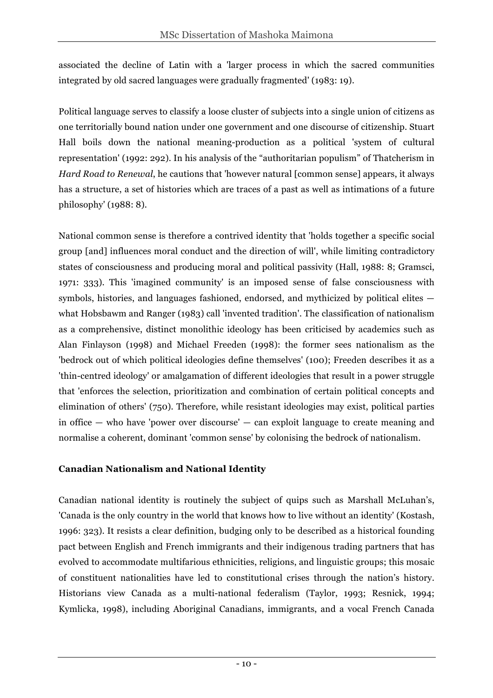associated the decline of Latin with a 'larger process in which the sacred communities integrated by old sacred languages were gradually fragmented' (1983: 19).

Political language serves to classify a loose cluster of subjects into a single union of citizens as one territorially bound nation under one government and one discourse of citizenship. Stuart Hall boils down the national meaning-production as a political 'system of cultural representation' (1992: 292). In his analysis of the "authoritarian populism" of Thatcherism in *Hard Road to Renewal*, he cautions that 'however natural [common sense] appears, it always has a structure, a set of histories which are traces of a past as well as intimations of a future philosophy' (1988: 8).

National common sense is therefore a contrived identity that 'holds together a specific social group [and] influences moral conduct and the direction of will', while limiting contradictory states of consciousness and producing moral and political passivity (Hall, 1988: 8; Gramsci, 1971: 333). This 'imagined community' is an imposed sense of false consciousness with symbols, histories, and languages fashioned, endorsed, and mythicized by political elites what Hobsbawm and Ranger (1983) call 'invented tradition'. The classification of nationalism as a comprehensive, distinct monolithic ideology has been criticised by academics such as Alan Finlayson (1998) and Michael Freeden (1998): the former sees nationalism as the 'bedrock out of which political ideologies define themselves' (100); Freeden describes it as a 'thin-centred ideology' or amalgamation of different ideologies that result in a power struggle that 'enforces the selection, prioritization and combination of certain political concepts and elimination of others' (750). Therefore, while resistant ideologies may exist, political parties in office — who have 'power over discourse' — can exploit language to create meaning and normalise a coherent, dominant 'common sense' by colonising the bedrock of nationalism.

#### **Canadian Nationalism and National Identity**

Canadian national identity is routinely the subject of quips such as Marshall McLuhan's, 'Canada is the only country in the world that knows how to live without an identity' (Kostash, 1996: 323). It resists a clear definition, budging only to be described as a historical founding pact between English and French immigrants and their indigenous trading partners that has evolved to accommodate multifarious ethnicities, religions, and linguistic groups; this mosaic of constituent nationalities have led to constitutional crises through the nation's history. Historians view Canada as a multi-national federalism (Taylor, 1993; Resnick, 1994; Kymlicka, 1998), including Aboriginal Canadians, immigrants, and a vocal French Canada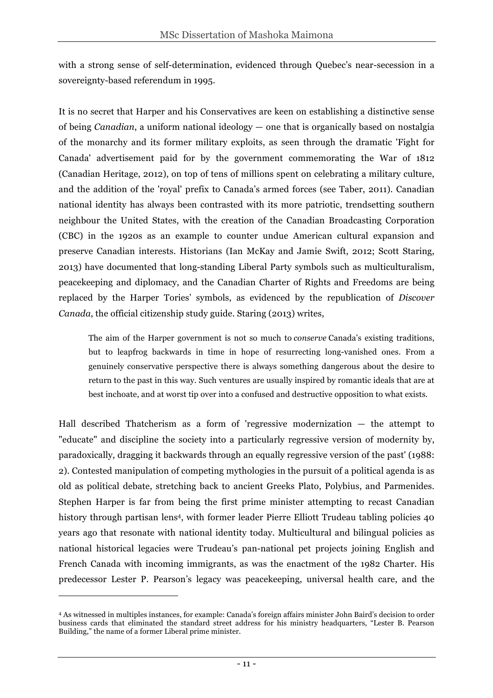with a strong sense of self-determination, evidenced through Quebec's near-secession in a sovereignty-based referendum in 1995.

It is no secret that Harper and his Conservatives are keen on establishing a distinctive sense of being *Canadian*, a uniform national ideology — one that is organically based on nostalgia of the monarchy and its former military exploits, as seen through the dramatic 'Fight for Canada' advertisement paid for by the government commemorating the War of 1812 (Canadian Heritage, 2012), on top of tens of millions spent on celebrating a military culture, and the addition of the 'royal' prefix to Canada's armed forces (see Taber, 2011). Canadian national identity has always been contrasted with its more patriotic, trendsetting southern neighbour the United States, with the creation of the Canadian Broadcasting Corporation (CBC) in the 1920s as an example to counter undue American cultural expansion and preserve Canadian interests. Historians (Ian McKay and Jamie Swift, 2012; Scott Staring, 2013) have documented that long-standing Liberal Party symbols such as multiculturalism, peacekeeping and diplomacy, and the Canadian Charter of Rights and Freedoms are being replaced by the Harper Tories' symbols, as evidenced by the republication of *Discover Canada*, the official citizenship study guide. Staring (2013) writes,

The aim of the Harper government is not so much to *conserve* Canada's existing traditions, but to leapfrog backwards in time in hope of resurrecting long-vanished ones. From a genuinely conservative perspective there is always something dangerous about the desire to return to the past in this way. Such ventures are usually inspired by romantic ideals that are at best inchoate, and at worst tip over into a confused and destructive opposition to what exists.

Hall described Thatcherism as a form of 'regressive modernization  $-$  the attempt to "educate" and discipline the society into a particularly regressive version of modernity by, paradoxically, dragging it backwards through an equally regressive version of the past' (1988: 2). Contested manipulation of competing mythologies in the pursuit of a political agenda is as old as political debate, stretching back to ancient Greeks Plato, Polybius, and Parmenides. Stephen Harper is far from being the first prime minister attempting to recast Canadian history through partisan lens<sup>4</sup>, with former leader Pierre Elliott Trudeau tabling policies 40 years ago that resonate with national identity today. Multicultural and bilingual policies as national historical legacies were Trudeau's pan-national pet projects joining English and French Canada with incoming immigrants, as was the enactment of the 1982 Charter. His predecessor Lester P. Pearson's legacy was peacekeeping, universal health care, and the

 $\overline{a}$ 

<sup>4</sup> As witnessed in multiples instances, for example: Canada's foreign affairs minister John Baird's decision to order business cards that eliminated the standard street address for his ministry headquarters, "Lester B. Pearson Building," the name of a former Liberal prime minister.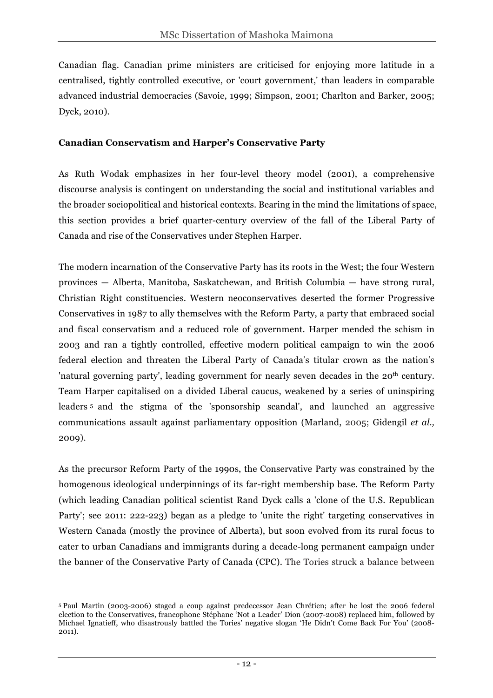Canadian flag. Canadian prime ministers are criticised for enjoying more latitude in a centralised, tightly controlled executive, or 'court government,' than leaders in comparable advanced industrial democracies (Savoie, 1999; Simpson, 2001; Charlton and Barker, 2005; Dyck, 2010).

#### **Canadian Conservatism and Harper's Conservative Party**

As Ruth Wodak emphasizes in her four-level theory model (2001), a comprehensive discourse analysis is contingent on understanding the social and institutional variables and the broader sociopolitical and historical contexts. Bearing in the mind the limitations of space, this section provides a brief quarter-century overview of the fall of the Liberal Party of Canada and rise of the Conservatives under Stephen Harper.

The modern incarnation of the Conservative Party has its roots in the West; the four Western provinces — Alberta, Manitoba, Saskatchewan, and British Columbia — have strong rural, Christian Right constituencies. Western neoconservatives deserted the former Progressive Conservatives in 1987 to ally themselves with the Reform Party, a party that embraced social and fiscal conservatism and a reduced role of government. Harper mended the schism in 2003 and ran a tightly controlled, effective modern political campaign to win the 2006 federal election and threaten the Liberal Party of Canada's titular crown as the nation's 'natural governing party', leading government for nearly seven decades in the 20<sup>th</sup> century. Team Harper capitalised on a divided Liberal caucus, weakened by a series of uninspiring leaders <sup>5</sup> and the stigma of the 'sponsorship scandal', and launched an aggressive communications assault against parliamentary opposition (Marland, 2005; Gidengil *et al.,* 2009).

As the precursor Reform Party of the 1990s, the Conservative Party was constrained by the homogenous ideological underpinnings of its far-right membership base. The Reform Party (which leading Canadian political scientist Rand Dyck calls a 'clone of the U.S. Republican Party'; see 2011: 222-223) began as a pledge to 'unite the right' targeting conservatives in Western Canada (mostly the province of Alberta), but soon evolved from its rural focus to cater to urban Canadians and immigrants during a decade-long permanent campaign under the banner of the Conservative Party of Canada (CPC). The Tories struck a balance between

 $\overline{a}$ 

<sup>5</sup> Paul Martin (2003-2006) staged a coup against predecessor Jean Chrétien; after he lost the 2006 federal election to the Conservatives, francophone Stéphane 'Not a Leader' Dion (2007-2008) replaced him, followed by Michael Ignatieff, who disastrously battled the Tories' negative slogan 'He Didn't Come Back For You' (2008- 2011).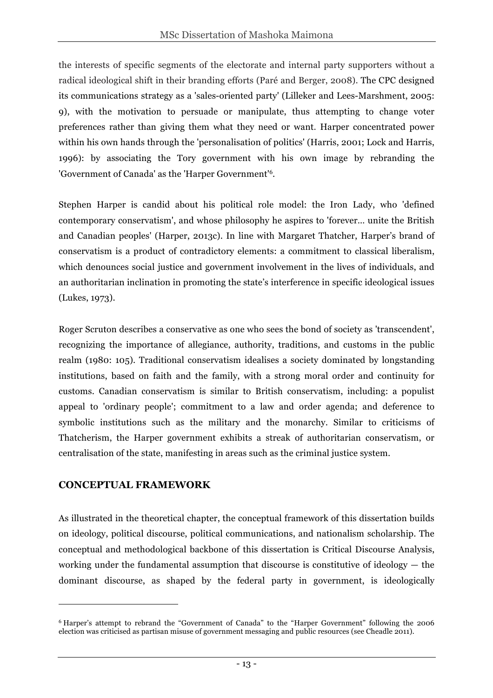the interests of specific segments of the electorate and internal party supporters without a radical ideological shift in their branding efforts (Paré and Berger, 2008). The CPC designed its communications strategy as a 'sales-oriented party' (Lilleker and Lees-Marshment, 2005: 9), with the motivation to persuade or manipulate, thus attempting to change voter preferences rather than giving them what they need or want. Harper concentrated power within his own hands through the 'personalisation of politics' (Harris, 2001; Lock and Harris, 1996): by associating the Tory government with his own image by rebranding the 'Government of Canada' as the 'Harper Government'6.

Stephen Harper is candid about his political role model: the Iron Lady, who 'defined contemporary conservatism', and whose philosophy he aspires to 'forever… unite the British and Canadian peoples' (Harper, 2013c). In line with Margaret Thatcher, Harper's brand of conservatism is a product of contradictory elements: a commitment to classical liberalism, which denounces social justice and government involvement in the lives of individuals, and an authoritarian inclination in promoting the state's interference in specific ideological issues (Lukes, 1973).

Roger Scruton describes a conservative as one who sees the bond of society as 'transcendent', recognizing the importance of allegiance, authority, traditions, and customs in the public realm (1980: 105). Traditional conservatism idealises a society dominated by longstanding institutions, based on faith and the family, with a strong moral order and continuity for customs. Canadian conservatism is similar to British conservatism, including: a populist appeal to 'ordinary people'; commitment to a law and order agenda; and deference to symbolic institutions such as the military and the monarchy. Similar to criticisms of Thatcherism, the Harper government exhibits a streak of authoritarian conservatism, or centralisation of the state, manifesting in areas such as the criminal justice system.

## **CONCEPTUAL FRAMEWORK**

 $\overline{a}$ 

As illustrated in the theoretical chapter, the conceptual framework of this dissertation builds on ideology, political discourse, political communications, and nationalism scholarship. The conceptual and methodological backbone of this dissertation is Critical Discourse Analysis, working under the fundamental assumption that discourse is constitutive of ideology — the dominant discourse, as shaped by the federal party in government, is ideologically

<sup>6</sup> Harper's attempt to rebrand the "Government of Canada" to the "Harper Government" following the 2006 election was criticised as partisan misuse of government messaging and public resources (see Cheadle 2011).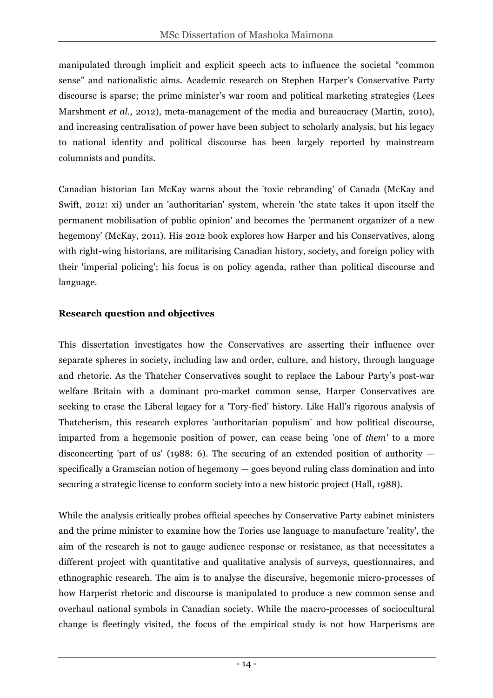manipulated through implicit and explicit speech acts to influence the societal "common sense" and nationalistic aims. Academic research on Stephen Harper's Conservative Party discourse is sparse; the prime minister's war room and political marketing strategies (Lees Marshment *et al.,* 2012), meta-management of the media and bureaucracy (Martin, 2010), and increasing centralisation of power have been subject to scholarly analysis, but his legacy to national identity and political discourse has been largely reported by mainstream columnists and pundits.

Canadian historian Ian McKay warns about the 'toxic rebranding' of Canada (McKay and Swift, 2012: xi) under an 'authoritarian' system, wherein 'the state takes it upon itself the permanent mobilisation of public opinion' and becomes the 'permanent organizer of a new hegemony' (McKay, 2011). His 2012 book explores how Harper and his Conservatives, along with right-wing historians, are militarising Canadian history, society, and foreign policy with their 'imperial policing'; his focus is on policy agenda, rather than political discourse and language.

#### **Research question and objectives**

This dissertation investigates how the Conservatives are asserting their influence over separate spheres in society, including law and order, culture, and history, through language and rhetoric. As the Thatcher Conservatives sought to replace the Labour Party's post-war welfare Britain with a dominant pro-market common sense, Harper Conservatives are seeking to erase the Liberal legacy for a 'Tory-fied' history. Like Hall's rigorous analysis of Thatcherism, this research explores 'authoritarian populism' and how political discourse, imparted from a hegemonic position of power, can cease being 'one of *them'* to a more disconcerting 'part of us' (1988: 6). The securing of an extended position of authority  $$ specifically a Gramscian notion of hegemony — goes beyond ruling class domination and into securing a strategic license to conform society into a new historic project (Hall, 1988).

While the analysis critically probes official speeches by Conservative Party cabinet ministers and the prime minister to examine how the Tories use language to manufacture 'reality', the aim of the research is not to gauge audience response or resistance, as that necessitates a different project with quantitative and qualitative analysis of surveys, questionnaires, and ethnographic research. The aim is to analyse the discursive, hegemonic micro-processes of how Harperist rhetoric and discourse is manipulated to produce a new common sense and overhaul national symbols in Canadian society. While the macro-processes of sociocultural change is fleetingly visited, the focus of the empirical study is not how Harperisms are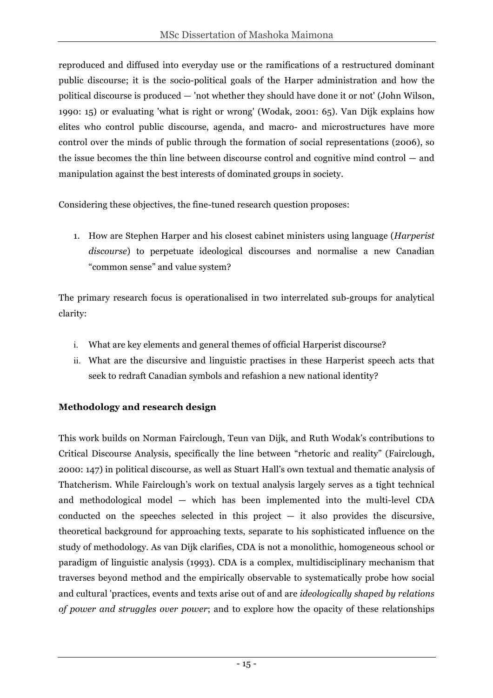reproduced and diffused into everyday use or the ramifications of a restructured dominant public discourse; it is the socio-political goals of the Harper administration and how the political discourse is produced — 'not whether they should have done it or not' (John Wilson, 1990: 15) or evaluating 'what is right or wrong' (Wodak, 2001: 65). Van Dijk explains how elites who control public discourse, agenda, and macro- and microstructures have more control over the minds of public through the formation of social representations (2006), so the issue becomes the thin line between discourse control and cognitive mind control — and manipulation against the best interests of dominated groups in society.

Considering these objectives, the fine-tuned research question proposes:

1. How are Stephen Harper and his closest cabinet ministers using language (*Harperist discourse*) to perpetuate ideological discourses and normalise a new Canadian "common sense" and value system?

The primary research focus is operationalised in two interrelated sub-groups for analytical clarity:

- i. What are key elements and general themes of official Harperist discourse?
- ii. What are the discursive and linguistic practises in these Harperist speech acts that seek to redraft Canadian symbols and refashion a new national identity?

## **Methodology and research design**

This work builds on Norman Fairclough, Teun van Dijk, and Ruth Wodak's contributions to Critical Discourse Analysis, specifically the line between "rhetoric and reality" (Fairclough, 2000: 147) in political discourse, as well as Stuart Hall's own textual and thematic analysis of Thatcherism. While Fairclough's work on textual analysis largely serves as a tight technical and methodological model — which has been implemented into the multi-level CDA conducted on the speeches selected in this project  $-$  it also provides the discursive, theoretical background for approaching texts, separate to his sophisticated influence on the study of methodology. As van Dijk clarifies, CDA is not a monolithic, homogeneous school or paradigm of linguistic analysis (1993). CDA is a complex, multidisciplinary mechanism that traverses beyond method and the empirically observable to systematically probe how social and cultural 'practices, events and texts arise out of and are *ideologically shaped by relations of power and struggles over power*; and to explore how the opacity of these relationships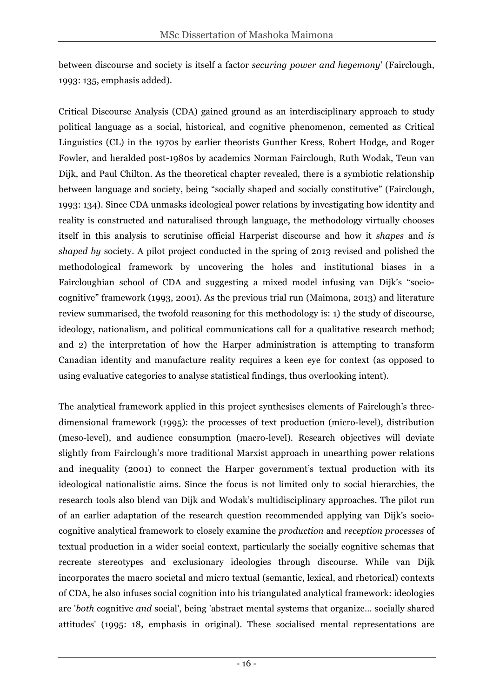between discourse and society is itself a factor *securing power and hegemony*' (Fairclough, 1993: 135, emphasis added).

Critical Discourse Analysis (CDA) gained ground as an interdisciplinary approach to study political language as a social, historical, and cognitive phenomenon, cemented as Critical Linguistics (CL) in the 1970s by earlier theorists Gunther Kress, Robert Hodge, and Roger Fowler, and heralded post-1980s by academics Norman Fairclough, Ruth Wodak, Teun van Dijk, and Paul Chilton. As the theoretical chapter revealed, there is a symbiotic relationship between language and society, being "socially shaped and socially constitutive" (Fairclough, 1993: 134). Since CDA unmasks ideological power relations by investigating how identity and reality is constructed and naturalised through language, the methodology virtually chooses itself in this analysis to scrutinise official Harperist discourse and how it *shapes* and *is shaped by* society. A pilot project conducted in the spring of 2013 revised and polished the methodological framework by uncovering the holes and institutional biases in a Faircloughian school of CDA and suggesting a mixed model infusing van Dijk's "sociocognitive" framework (1993, 2001). As the previous trial run (Maimona, 2013) and literature review summarised, the twofold reasoning for this methodology is: 1) the study of discourse, ideology, nationalism, and political communications call for a qualitative research method; and 2) the interpretation of how the Harper administration is attempting to transform Canadian identity and manufacture reality requires a keen eye for context (as opposed to using evaluative categories to analyse statistical findings, thus overlooking intent).

The analytical framework applied in this project synthesises elements of Fairclough's threedimensional framework (1995): the processes of text production (micro-level), distribution (meso-level), and audience consumption (macro-level). Research objectives will deviate slightly from Fairclough's more traditional Marxist approach in unearthing power relations and inequality (2001) to connect the Harper government's textual production with its ideological nationalistic aims. Since the focus is not limited only to social hierarchies, the research tools also blend van Dijk and Wodak's multidisciplinary approaches. The pilot run of an earlier adaptation of the research question recommended applying van Dijk's sociocognitive analytical framework to closely examine the *production* and *reception processes* of textual production in a wider social context, particularly the socially cognitive schemas that recreate stereotypes and exclusionary ideologies through discourse. While van Dijk incorporates the macro societal and micro textual (semantic, lexical, and rhetorical) contexts of CDA, he also infuses social cognition into his triangulated analytical framework: ideologies are '*both* cognitive *and* social', being 'abstract mental systems that organize… socially shared attitudes' (1995: 18, emphasis in original). These socialised mental representations are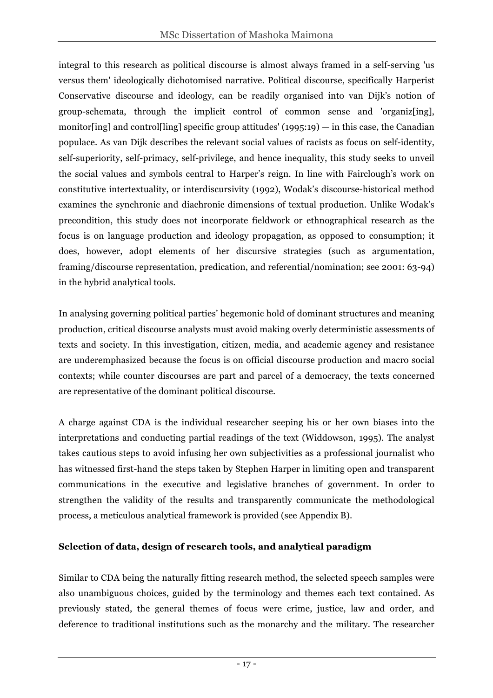integral to this research as political discourse is almost always framed in a self-serving 'us versus them' ideologically dichotomised narrative. Political discourse, specifically Harperist Conservative discourse and ideology, can be readily organised into van Dijk's notion of group-schemata, through the implicit control of common sense and 'organiz[ing], monitor [ing] and control [ling] specific group attitudes'  $(1995:19) -$  in this case, the Canadian populace. As van Dijk describes the relevant social values of racists as focus on self-identity, self-superiority, self-primacy, self-privilege, and hence inequality, this study seeks to unveil the social values and symbols central to Harper's reign. In line with Fairclough's work on constitutive intertextuality, or interdiscursivity (1992), Wodak's discourse-historical method examines the synchronic and diachronic dimensions of textual production. Unlike Wodak's precondition, this study does not incorporate fieldwork or ethnographical research as the focus is on language production and ideology propagation, as opposed to consumption; it does, however, adopt elements of her discursive strategies (such as argumentation, framing/discourse representation, predication, and referential/nomination; see 2001: 63-94) in the hybrid analytical tools.

In analysing governing political parties' hegemonic hold of dominant structures and meaning production, critical discourse analysts must avoid making overly deterministic assessments of texts and society. In this investigation, citizen, media, and academic agency and resistance are underemphasized because the focus is on official discourse production and macro social contexts; while counter discourses are part and parcel of a democracy, the texts concerned are representative of the dominant political discourse.

A charge against CDA is the individual researcher seeping his or her own biases into the interpretations and conducting partial readings of the text (Widdowson, 1995). The analyst takes cautious steps to avoid infusing her own subjectivities as a professional journalist who has witnessed first-hand the steps taken by Stephen Harper in limiting open and transparent communications in the executive and legislative branches of government. In order to strengthen the validity of the results and transparently communicate the methodological process, a meticulous analytical framework is provided (see Appendix B).

#### **Selection of data, design of research tools, and analytical paradigm**

Similar to CDA being the naturally fitting research method, the selected speech samples were also unambiguous choices, guided by the terminology and themes each text contained. As previously stated, the general themes of focus were crime, justice, law and order, and deference to traditional institutions such as the monarchy and the military. The researcher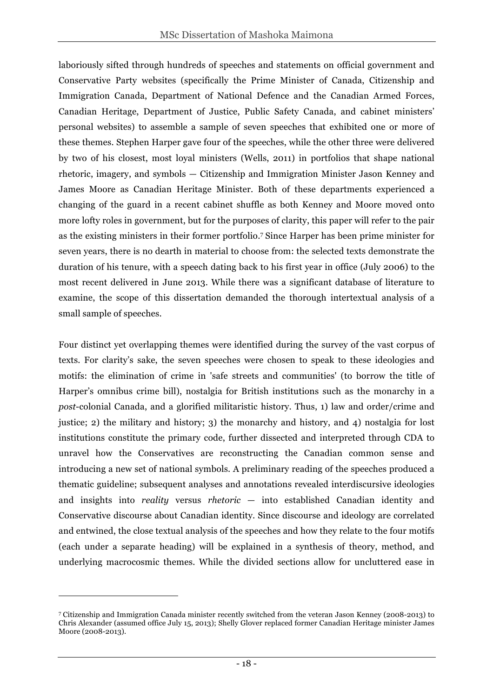laboriously sifted through hundreds of speeches and statements on official government and Conservative Party websites (specifically the Prime Minister of Canada, Citizenship and Immigration Canada, Department of National Defence and the Canadian Armed Forces, Canadian Heritage, Department of Justice, Public Safety Canada, and cabinet ministers' personal websites) to assemble a sample of seven speeches that exhibited one or more of these themes. Stephen Harper gave four of the speeches, while the other three were delivered by two of his closest, most loyal ministers (Wells, 2011) in portfolios that shape national rhetoric, imagery, and symbols — Citizenship and Immigration Minister Jason Kenney and James Moore as Canadian Heritage Minister. Both of these departments experienced a changing of the guard in a recent cabinet shuffle as both Kenney and Moore moved onto more lofty roles in government, but for the purposes of clarity, this paper will refer to the pair as the existing ministers in their former portfolio.7 Since Harper has been prime minister for seven years, there is no dearth in material to choose from: the selected texts demonstrate the duration of his tenure, with a speech dating back to his first year in office (July 2006) to the most recent delivered in June 2013. While there was a significant database of literature to examine, the scope of this dissertation demanded the thorough intertextual analysis of a small sample of speeches.

Four distinct yet overlapping themes were identified during the survey of the vast corpus of texts. For clarity's sake, the seven speeches were chosen to speak to these ideologies and motifs: the elimination of crime in 'safe streets and communities' (to borrow the title of Harper's omnibus crime bill), nostalgia for British institutions such as the monarchy in a *post*-colonial Canada, and a glorified militaristic history. Thus, 1) law and order/crime and justice; 2) the military and history; 3) the monarchy and history, and 4) nostalgia for lost institutions constitute the primary code, further dissected and interpreted through CDA to unravel how the Conservatives are reconstructing the Canadian common sense and introducing a new set of national symbols. A preliminary reading of the speeches produced a thematic guideline; subsequent analyses and annotations revealed interdiscursive ideologies and insights into *reality* versus *rhetoric* — into established Canadian identity and Conservative discourse about Canadian identity. Since discourse and ideology are correlated and entwined, the close textual analysis of the speeches and how they relate to the four motifs (each under a separate heading) will be explained in a synthesis of theory, method, and underlying macrocosmic themes. While the divided sections allow for uncluttered ease in

 $\overline{a}$ 

<sup>7</sup> Citizenship and Immigration Canada minister recently switched from the veteran Jason Kenney (2008-2013) to Chris Alexander (assumed office July 15, 2013); Shelly Glover replaced former Canadian Heritage minister James Moore (2008-2013).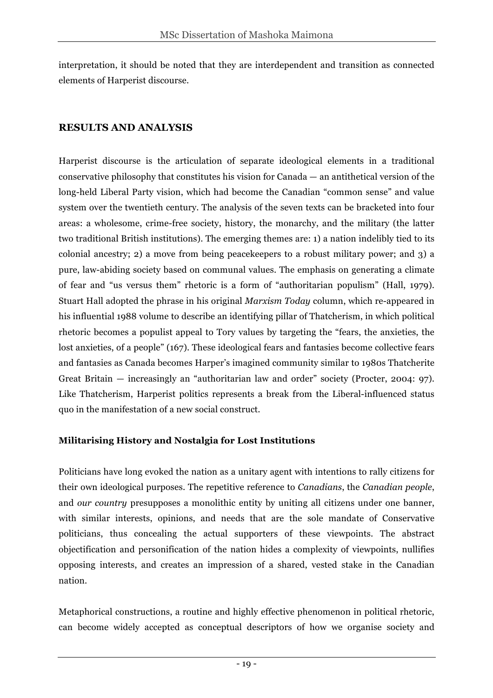interpretation, it should be noted that they are interdependent and transition as connected elements of Harperist discourse.

### **RESULTS AND ANALYSIS**

Harperist discourse is the articulation of separate ideological elements in a traditional conservative philosophy that constitutes his vision for Canada — an antithetical version of the long-held Liberal Party vision, which had become the Canadian "common sense" and value system over the twentieth century. The analysis of the seven texts can be bracketed into four areas: a wholesome, crime-free society, history, the monarchy, and the military (the latter two traditional British institutions). The emerging themes are: 1) a nation indelibly tied to its colonial ancestry; 2) a move from being peacekeepers to a robust military power; and 3) a pure, law-abiding society based on communal values. The emphasis on generating a climate of fear and "us versus them" rhetoric is a form of "authoritarian populism" (Hall, 1979). Stuart Hall adopted the phrase in his original *Marxism Today* column, which re-appeared in his influential 1988 volume to describe an identifying pillar of Thatcherism, in which political rhetoric becomes a populist appeal to Tory values by targeting the "fears, the anxieties, the lost anxieties, of a people" (167). These ideological fears and fantasies become collective fears and fantasies as Canada becomes Harper's imagined community similar to 1980s Thatcherite Great Britain — increasingly an "authoritarian law and order" society (Procter, 2004: 97). Like Thatcherism, Harperist politics represents a break from the Liberal-influenced status quo in the manifestation of a new social construct.

#### **Militarising History and Nostalgia for Lost Institutions**

Politicians have long evoked the nation as a unitary agent with intentions to rally citizens for their own ideological purposes. The repetitive reference to *Canadians*, the *Canadian people*, and *our country* presupposes a monolithic entity by uniting all citizens under one banner, with similar interests, opinions, and needs that are the sole mandate of Conservative politicians, thus concealing the actual supporters of these viewpoints. The abstract objectification and personification of the nation hides a complexity of viewpoints, nullifies opposing interests, and creates an impression of a shared, vested stake in the Canadian nation.

Metaphorical constructions, a routine and highly effective phenomenon in political rhetoric, can become widely accepted as conceptual descriptors of how we organise society and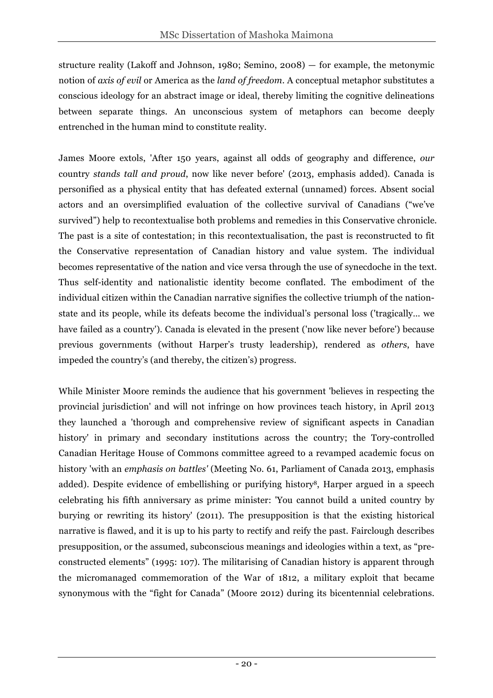structure reality (Lakoff and Johnson, 1980; Semino, 2008) — for example, the metonymic notion of *axis of evil* or America as the *land of freedom*. A conceptual metaphor substitutes a conscious ideology for an abstract image or ideal, thereby limiting the cognitive delineations between separate things. An unconscious system of metaphors can become deeply entrenched in the human mind to constitute reality.

James Moore extols, 'After 150 years, against all odds of geography and difference, *our* country *stands tall and proud*, now like never before' (2013, emphasis added). Canada is personified as a physical entity that has defeated external (unnamed) forces. Absent social actors and an oversimplified evaluation of the collective survival of Canadians ("we've survived") help to recontextualise both problems and remedies in this Conservative chronicle. The past is a site of contestation; in this recontextualisation, the past is reconstructed to fit the Conservative representation of Canadian history and value system. The individual becomes representative of the nation and vice versa through the use of synecdoche in the text. Thus self-identity and nationalistic identity become conflated. The embodiment of the individual citizen within the Canadian narrative signifies the collective triumph of the nationstate and its people, while its defeats become the individual's personal loss ('tragically… we have failed as a country'). Canada is elevated in the present ('now like never before') because previous governments (without Harper's trusty leadership), rendered as *others*, have impeded the country's (and thereby, the citizen's) progress.

While Minister Moore reminds the audience that his government 'believes in respecting the provincial jurisdiction' and will not infringe on how provinces teach history, in April 2013 they launched a 'thorough and comprehensive review of significant aspects in Canadian history' in primary and secondary institutions across the country; the Tory-controlled Canadian Heritage House of Commons committee agreed to a revamped academic focus on history 'with an *emphasis on battles'* (Meeting No. 61, Parliament of Canada 2013, emphasis added). Despite evidence of embellishing or purifying history8, Harper argued in a speech celebrating his fifth anniversary as prime minister: 'You cannot build a united country by burying or rewriting its history' (2011). The presupposition is that the existing historical narrative is flawed, and it is up to his party to rectify and reify the past. Fairclough describes presupposition, or the assumed, subconscious meanings and ideologies within a text, as "preconstructed elements" (1995: 107). The militarising of Canadian history is apparent through the micromanaged commemoration of the War of 1812, a military exploit that became synonymous with the "fight for Canada" (Moore 2012) during its bicentennial celebrations.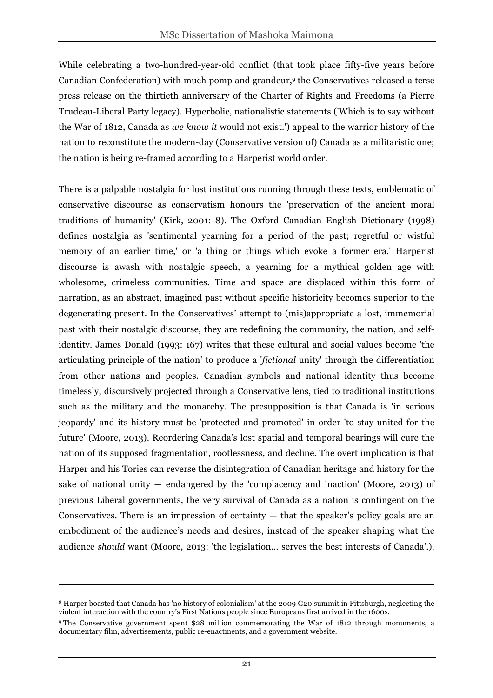While celebrating a two-hundred-year-old conflict (that took place fifty-five years before Canadian Confederation) with much pomp and grandeur,9 the Conservatives released a terse press release on the thirtieth anniversary of the Charter of Rights and Freedoms (a Pierre Trudeau-Liberal Party legacy). Hyperbolic, nationalistic statements ('Which is to say without the War of 1812, Canada as *we know it* would not exist.') appeal to the warrior history of the nation to reconstitute the modern-day (Conservative version of) Canada as a militaristic one; the nation is being re-framed according to a Harperist world order.

There is a palpable nostalgia for lost institutions running through these texts, emblematic of conservative discourse as conservatism honours the 'preservation of the ancient moral traditions of humanity' (Kirk, 2001: 8). The Oxford Canadian English Dictionary (1998) defines nostalgia as 'sentimental yearning for a period of the past; regretful or wistful memory of an earlier time,' or 'a thing or things which evoke a former era.' Harperist discourse is awash with nostalgic speech, a yearning for a mythical golden age with wholesome, crimeless communities. Time and space are displaced within this form of narration, as an abstract, imagined past without specific historicity becomes superior to the degenerating present. In the Conservatives' attempt to (mis)appropriate a lost, immemorial past with their nostalgic discourse, they are redefining the community, the nation, and selfidentity. James Donald (1993: 167) writes that these cultural and social values become 'the articulating principle of the nation' to produce a '*fictional* unity' through the differentiation from other nations and peoples. Canadian symbols and national identity thus become timelessly, discursively projected through a Conservative lens, tied to traditional institutions such as the military and the monarchy. The presupposition is that Canada is 'in serious jeopardy' and its history must be 'protected and promoted' in order 'to stay united for the future' (Moore, 2013). Reordering Canada's lost spatial and temporal bearings will cure the nation of its supposed fragmentation, rootlessness, and decline. The overt implication is that Harper and his Tories can reverse the disintegration of Canadian heritage and history for the sake of national unity — endangered by the 'complacency and inaction' (Moore, 2013) of previous Liberal governments, the very survival of Canada as a nation is contingent on the Conservatives. There is an impression of certainty  $-$  that the speaker's policy goals are an embodiment of the audience's needs and desires, instead of the speaker shaping what the audience *should* want (Moore, 2013: 'the legislation… serves the best interests of Canada'.).

<u>.</u>

<sup>8</sup> Harper boasted that Canada has 'no history of colonialism' at the 2009 G20 summit in Pittsburgh, neglecting the violent interaction with the country's First Nations people since Europeans first arrived in the 1600s.

<sup>9</sup> The Conservative government spent \$28 million commemorating the War of 1812 through monuments, a documentary film, advertisements, public re-enactments, and a government website.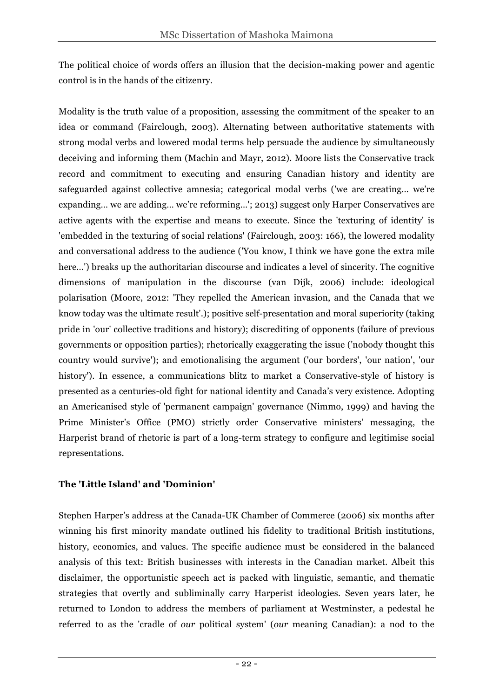The political choice of words offers an illusion that the decision-making power and agentic control is in the hands of the citizenry.

Modality is the truth value of a proposition, assessing the commitment of the speaker to an idea or command (Fairclough, 2003). Alternating between authoritative statements with strong modal verbs and lowered modal terms help persuade the audience by simultaneously deceiving and informing them (Machin and Mayr, 2012). Moore lists the Conservative track record and commitment to executing and ensuring Canadian history and identity are safeguarded against collective amnesia; categorical modal verbs ('we are creating… we're expanding… we are adding… we're reforming…'; 2013) suggest only Harper Conservatives are active agents with the expertise and means to execute. Since the 'texturing of identity' is 'embedded in the texturing of social relations' (Fairclough, 2003: 166), the lowered modality and conversational address to the audience ('You know, I think we have gone the extra mile here...') breaks up the authoritarian discourse and indicates a level of sincerity. The cognitive dimensions of manipulation in the discourse (van Dijk, 2006) include: ideological polarisation (Moore, 2012: 'They repelled the American invasion, and the Canada that we know today was the ultimate result'.); positive self-presentation and moral superiority (taking pride in 'our' collective traditions and history); discrediting of opponents (failure of previous governments or opposition parties); rhetorically exaggerating the issue ('nobody thought this country would survive'); and emotionalising the argument ('our borders', 'our nation', 'our history'). In essence, a communications blitz to market a Conservative-style of history is presented as a centuries-old fight for national identity and Canada's very existence. Adopting an Americanised style of 'permanent campaign' governance (Nimmo, 1999) and having the Prime Minister's Office (PMO) strictly order Conservative ministers' messaging, the Harperist brand of rhetoric is part of a long-term strategy to configure and legitimise social representations.

## **The 'Little Island' and 'Dominion'**

Stephen Harper's address at the Canada-UK Chamber of Commerce (2006) six months after winning his first minority mandate outlined his fidelity to traditional British institutions, history, economics, and values. The specific audience must be considered in the balanced analysis of this text: British businesses with interests in the Canadian market. Albeit this disclaimer, the opportunistic speech act is packed with linguistic, semantic, and thematic strategies that overtly and subliminally carry Harperist ideologies. Seven years later, he returned to London to address the members of parliament at Westminster, a pedestal he referred to as the 'cradle of *our* political system' (*our* meaning Canadian): a nod to the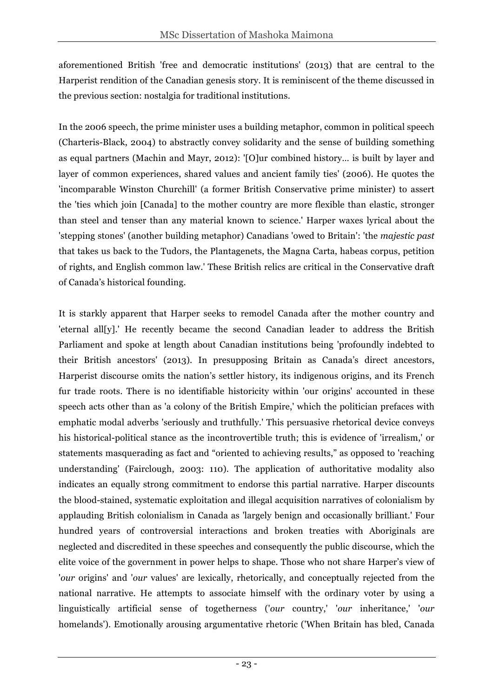aforementioned British 'free and democratic institutions' (2013) that are central to the Harperist rendition of the Canadian genesis story. It is reminiscent of the theme discussed in the previous section: nostalgia for traditional institutions.

In the 2006 speech, the prime minister uses a building metaphor, common in political speech (Charteris-Black, 2004) to abstractly convey solidarity and the sense of building something as equal partners (Machin and Mayr, 2012): '[O]ur combined history… is built by layer and layer of common experiences, shared values and ancient family ties' (2006). He quotes the 'incomparable Winston Churchill' (a former British Conservative prime minister) to assert the 'ties which join [Canada] to the mother country are more flexible than elastic, stronger than steel and tenser than any material known to science.' Harper waxes lyrical about the 'stepping stones' (another building metaphor) Canadians 'owed to Britain': 'the *majestic past* that takes us back to the Tudors, the Plantagenets, the Magna Carta, habeas corpus, petition of rights, and English common law.' These British relics are critical in the Conservative draft of Canada's historical founding.

It is starkly apparent that Harper seeks to remodel Canada after the mother country and 'eternal all[y].' He recently became the second Canadian leader to address the British Parliament and spoke at length about Canadian institutions being 'profoundly indebted to their British ancestors' (2013). In presupposing Britain as Canada's direct ancestors, Harperist discourse omits the nation's settler history, its indigenous origins, and its French fur trade roots. There is no identifiable historicity within 'our origins' accounted in these speech acts other than as 'a colony of the British Empire,' which the politician prefaces with emphatic modal adverbs 'seriously and truthfully.' This persuasive rhetorical device conveys his historical-political stance as the incontrovertible truth; this is evidence of 'irrealism,' or statements masquerading as fact and "oriented to achieving results," as opposed to 'reaching understanding' (Fairclough, 2003: 110). The application of authoritative modality also indicates an equally strong commitment to endorse this partial narrative. Harper discounts the blood-stained, systematic exploitation and illegal acquisition narratives of colonialism by applauding British colonialism in Canada as 'largely benign and occasionally brilliant.' Four hundred years of controversial interactions and broken treaties with Aboriginals are neglected and discredited in these speeches and consequently the public discourse, which the elite voice of the government in power helps to shape. Those who not share Harper's view of '*our* origins' and '*our* values' are lexically, rhetorically, and conceptually rejected from the national narrative. He attempts to associate himself with the ordinary voter by using a linguistically artificial sense of togetherness ('*our* country,' '*our* inheritance,' '*our* homelands'). Emotionally arousing argumentative rhetoric ('When Britain has bled, Canada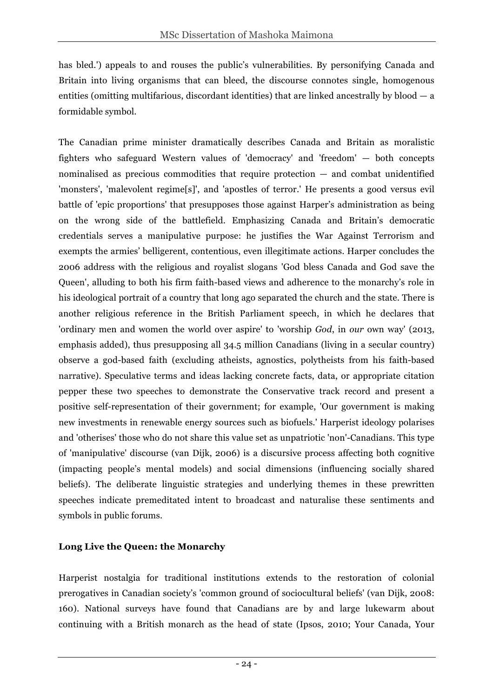has bled.') appeals to and rouses the public's vulnerabilities. By personifying Canada and Britain into living organisms that can bleed, the discourse connotes single, homogenous entities (omitting multifarious, discordant identities) that are linked ancestrally by  $b$ lood  $-a$ formidable symbol.

The Canadian prime minister dramatically describes Canada and Britain as moralistic fighters who safeguard Western values of 'democracy' and 'freedom' — both concepts nominalised as precious commodities that require protection — and combat unidentified 'monsters', 'malevolent regime[s]', and 'apostles of terror.' He presents a good versus evil battle of 'epic proportions' that presupposes those against Harper's administration as being on the wrong side of the battlefield. Emphasizing Canada and Britain's democratic credentials serves a manipulative purpose: he justifies the War Against Terrorism and exempts the armies' belligerent, contentious, even illegitimate actions. Harper concludes the 2006 address with the religious and royalist slogans 'God bless Canada and God save the Queen', alluding to both his firm faith-based views and adherence to the monarchy's role in his ideological portrait of a country that long ago separated the church and the state. There is another religious reference in the British Parliament speech, in which he declares that 'ordinary men and women the world over aspire' to 'worship *God*, in *our* own way' (2013, emphasis added), thus presupposing all 34.5 million Canadians (living in a secular country) observe a god-based faith (excluding atheists, agnostics, polytheists from his faith-based narrative). Speculative terms and ideas lacking concrete facts, data, or appropriate citation pepper these two speeches to demonstrate the Conservative track record and present a positive self-representation of their government; for example, 'Our government is making new investments in renewable energy sources such as biofuels.' Harperist ideology polarises and 'otherises' those who do not share this value set as unpatriotic 'non'-Canadians. This type of 'manipulative' discourse (van Dijk, 2006) is a discursive process affecting both cognitive (impacting people's mental models) and social dimensions (influencing socially shared beliefs). The deliberate linguistic strategies and underlying themes in these prewritten speeches indicate premeditated intent to broadcast and naturalise these sentiments and symbols in public forums.

#### **Long Live the Queen: the Monarchy**

Harperist nostalgia for traditional institutions extends to the restoration of colonial prerogatives in Canadian society's 'common ground of sociocultural beliefs' (van Dijk, 2008: 160). National surveys have found that Canadians are by and large lukewarm about continuing with a British monarch as the head of state (Ipsos, 2010; Your Canada, Your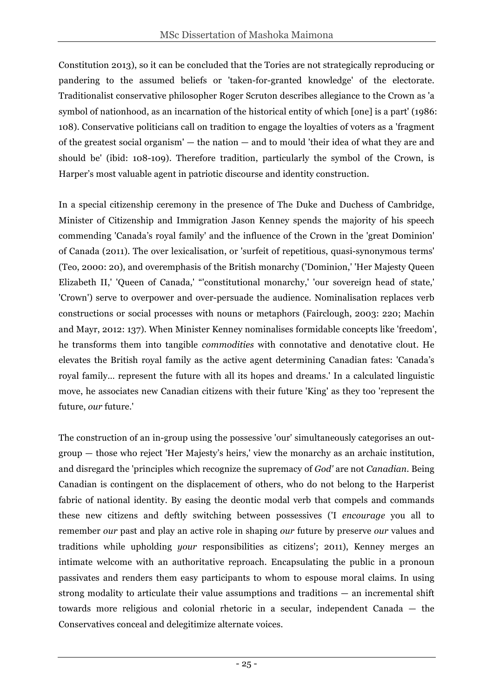Constitution 2013), so it can be concluded that the Tories are not strategically reproducing or pandering to the assumed beliefs or 'taken-for-granted knowledge' of the electorate. Traditionalist conservative philosopher Roger Scruton describes allegiance to the Crown as 'a symbol of nationhood, as an incarnation of the historical entity of which [one] is a part' (1986: 108). Conservative politicians call on tradition to engage the loyalties of voters as a 'fragment of the greatest social organism'  $-$  the nation  $-$  and to mould 'their idea of what they are and should be' (ibid: 108-109). Therefore tradition, particularly the symbol of the Crown, is Harper's most valuable agent in patriotic discourse and identity construction.

In a special citizenship ceremony in the presence of The Duke and Duchess of Cambridge, Minister of Citizenship and Immigration Jason Kenney spends the majority of his speech commending 'Canada's royal family' and the influence of the Crown in the 'great Dominion' of Canada (2011). The over lexicalisation, or 'surfeit of repetitious, quasi-synonymous terms' (Teo, 2000: 20), and overemphasis of the British monarchy ('Dominion,' 'Her Majesty Queen Elizabeth II,' 'Queen of Canada,' "'constitutional monarchy,' 'our sovereign head of state,' 'Crown') serve to overpower and over-persuade the audience. Nominalisation replaces verb constructions or social processes with nouns or metaphors (Fairclough, 2003: 220; Machin and Mayr, 2012: 137). When Minister Kenney nominalises formidable concepts like 'freedom', he transforms them into tangible *commodities* with connotative and denotative clout. He elevates the British royal family as the active agent determining Canadian fates: 'Canada's royal family… represent the future with all its hopes and dreams.' In a calculated linguistic move, he associates new Canadian citizens with their future 'King' as they too 'represent the future, *our* future.'

The construction of an in-group using the possessive 'our' simultaneously categorises an outgroup — those who reject 'Her Majesty's heirs,' view the monarchy as an archaic institution, and disregard the 'principles which recognize the supremacy of *God'* are not *Canadian*. Being Canadian is contingent on the displacement of others, who do not belong to the Harperist fabric of national identity. By easing the deontic modal verb that compels and commands these new citizens and deftly switching between possessives ('I *encourage* you all to remember *our* past and play an active role in shaping *our* future by preserve *our* values and traditions while upholding *your* responsibilities as citizens'; 2011), Kenney merges an intimate welcome with an authoritative reproach. Encapsulating the public in a pronoun passivates and renders them easy participants to whom to espouse moral claims. In using strong modality to articulate their value assumptions and traditions — an incremental shift towards more religious and colonial rhetoric in a secular, independent Canada — the Conservatives conceal and delegitimize alternate voices.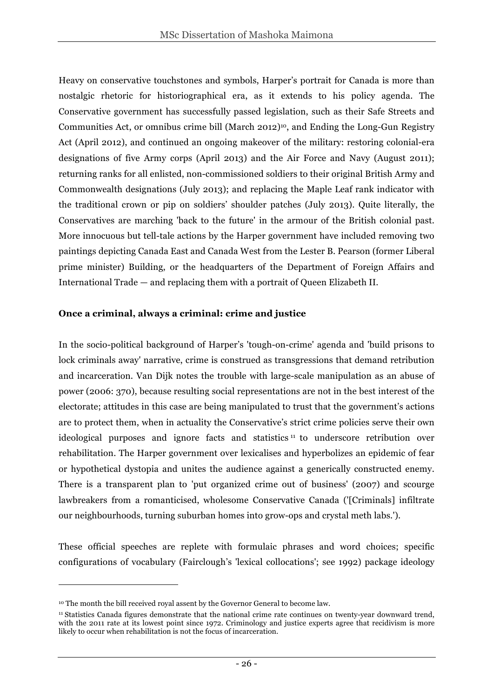Heavy on conservative touchstones and symbols, Harper's portrait for Canada is more than nostalgic rhetoric for historiographical era, as it extends to his policy agenda. The Conservative government has successfully passed legislation, such as their Safe Streets and Communities Act, or omnibus crime bill (March 2012)<sup>10</sup>, and Ending the Long-Gun Registry Act (April 2012), and continued an ongoing makeover of the military: restoring colonial-era designations of five Army corps (April 2013) and the Air Force and Navy (August 2011); returning ranks for all enlisted, non-commissioned soldiers to their original British Army and Commonwealth designations (July 2013); and replacing the Maple Leaf rank indicator with the traditional crown or pip on soldiers' shoulder patches (July 2013). Quite literally, the Conservatives are marching 'back to the future' in the armour of the British colonial past. More innocuous but tell-tale actions by the Harper government have included removing two paintings depicting Canada East and Canada West from the Lester B. Pearson (former Liberal prime minister) Building, or the headquarters of the Department of Foreign Affairs and International Trade — and replacing them with a portrait of Queen Elizabeth II.

#### **Once a criminal, always a criminal: crime and justice**

In the socio-political background of Harper's 'tough-on-crime' agenda and 'build prisons to lock criminals away' narrative, crime is construed as transgressions that demand retribution and incarceration. Van Dijk notes the trouble with large-scale manipulation as an abuse of power (2006: 370), because resulting social representations are not in the best interest of the electorate; attitudes in this case are being manipulated to trust that the government's actions are to protect them, when in actuality the Conservative's strict crime policies serve their own ideological purposes and ignore facts and statistics <sup>11</sup> to underscore retribution over rehabilitation. The Harper government over lexicalises and hyperbolizes an epidemic of fear or hypothetical dystopia and unites the audience against a generically constructed enemy. There is a transparent plan to 'put organized crime out of business' (2007) and scourge lawbreakers from a romanticised, wholesome Conservative Canada ('[Criminals] infiltrate our neighbourhoods, turning suburban homes into grow-ops and crystal meth labs.').

These official speeches are replete with formulaic phrases and word choices; specific configurations of vocabulary (Fairclough's 'lexical collocations'; see 1992) package ideology

 $\overline{a}$ 

<sup>&</sup>lt;sup>10</sup> The month the bill received royal assent by the Governor General to become law.

<sup>11</sup> Statistics Canada figures demonstrate that the national crime rate continues on twenty-year downward trend, with the 2011 rate at its lowest point since 1972. Criminology and justice experts agree that recidivism is more likely to occur when rehabilitation is not the focus of incarceration.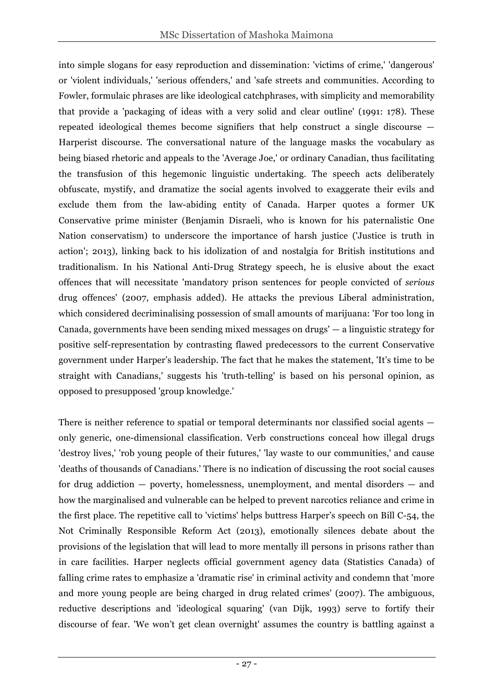into simple slogans for easy reproduction and dissemination: 'victims of crime,' 'dangerous' or 'violent individuals,' 'serious offenders,' and 'safe streets and communities. According to Fowler, formulaic phrases are like ideological catchphrases, with simplicity and memorability that provide a 'packaging of ideas with a very solid and clear outline' (1991: 178). These repeated ideological themes become signifiers that help construct a single discourse — Harperist discourse. The conversational nature of the language masks the vocabulary as being biased rhetoric and appeals to the 'Average Joe,' or ordinary Canadian, thus facilitating the transfusion of this hegemonic linguistic undertaking. The speech acts deliberately obfuscate, mystify, and dramatize the social agents involved to exaggerate their evils and exclude them from the law-abiding entity of Canada. Harper quotes a former UK Conservative prime minister (Benjamin Disraeli, who is known for his paternalistic One Nation conservatism) to underscore the importance of harsh justice ('Justice is truth in action'; 2013), linking back to his idolization of and nostalgia for British institutions and traditionalism. In his National Anti-Drug Strategy speech, he is elusive about the exact offences that will necessitate 'mandatory prison sentences for people convicted of *serious* drug offences' (2007, emphasis added). He attacks the previous Liberal administration, which considered decriminalising possession of small amounts of marijuana: 'For too long in Canada, governments have been sending mixed messages on drugs' — a linguistic strategy for positive self-representation by contrasting flawed predecessors to the current Conservative government under Harper's leadership. The fact that he makes the statement, 'It's time to be straight with Canadians,' suggests his 'truth-telling' is based on his personal opinion, as opposed to presupposed 'group knowledge.'

There is neither reference to spatial or temporal determinants nor classified social agents only generic, one-dimensional classification. Verb constructions conceal how illegal drugs 'destroy lives,' 'rob young people of their futures,' 'lay waste to our communities,' and cause 'deaths of thousands of Canadians.' There is no indication of discussing the root social causes for drug addiction — poverty, homelessness, unemployment, and mental disorders — and how the marginalised and vulnerable can be helped to prevent narcotics reliance and crime in the first place. The repetitive call to 'victims' helps buttress Harper's speech on Bill C-54, the Not Criminally Responsible Reform Act (2013), emotionally silences debate about the provisions of the legislation that will lead to more mentally ill persons in prisons rather than in care facilities. Harper neglects official government agency data (Statistics Canada) of falling crime rates to emphasize a 'dramatic rise' in criminal activity and condemn that 'more and more young people are being charged in drug related crimes' (2007). The ambiguous, reductive descriptions and 'ideological squaring' (van Dijk, 1993) serve to fortify their discourse of fear. 'We won't get clean overnight' assumes the country is battling against a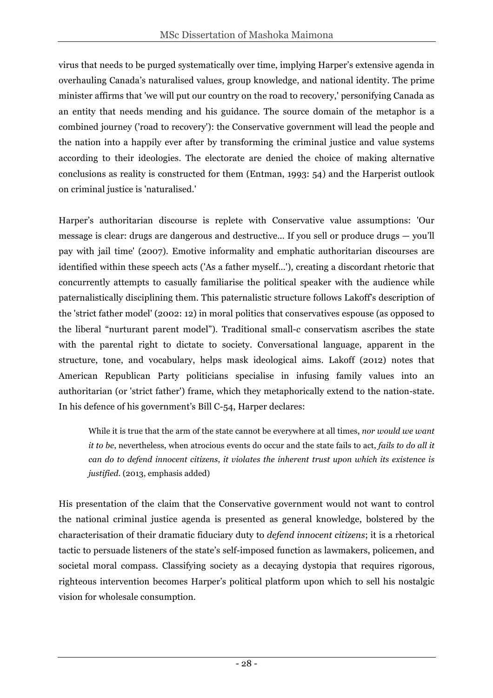virus that needs to be purged systematically over time, implying Harper's extensive agenda in overhauling Canada's naturalised values, group knowledge, and national identity. The prime minister affirms that 'we will put our country on the road to recovery,' personifying Canada as an entity that needs mending and his guidance. The source domain of the metaphor is a combined journey ('road to recovery'): the Conservative government will lead the people and the nation into a happily ever after by transforming the criminal justice and value systems according to their ideologies. The electorate are denied the choice of making alternative conclusions as reality is constructed for them (Entman, 1993: 54) and the Harperist outlook on criminal justice is 'naturalised.'

Harper's authoritarian discourse is replete with Conservative value assumptions: 'Our message is clear: drugs are dangerous and destructive… If you sell or produce drugs — you'll pay with jail time' (2007). Emotive informality and emphatic authoritarian discourses are identified within these speech acts ('As a father myself…'), creating a discordant rhetoric that concurrently attempts to casually familiarise the political speaker with the audience while paternalistically disciplining them. This paternalistic structure follows Lakoff's description of the 'strict father model' (2002: 12) in moral politics that conservatives espouse (as opposed to the liberal "nurturant parent model"). Traditional small-*c* conservatism ascribes the state with the parental right to dictate to society. Conversational language, apparent in the structure, tone, and vocabulary, helps mask ideological aims. Lakoff (2012) notes that American Republican Party politicians specialise in infusing family values into an authoritarian (or 'strict father') frame, which they metaphorically extend to the nation-state. In his defence of his government's Bill C-54, Harper declares:

While it is true that the arm of the state cannot be everywhere at all times, *nor would we want it to be*, nevertheless, when atrocious events do occur and the state fails to act, *fails to do all it can do to defend innocent citizens*, *it violates the inherent trust upon which its existence is justified*. (2013, emphasis added)

His presentation of the claim that the Conservative government would not want to control the national criminal justice agenda is presented as general knowledge, bolstered by the characterisation of their dramatic fiduciary duty to *defend innocent citizens*; it is a rhetorical tactic to persuade listeners of the state's self-imposed function as lawmakers, policemen, and societal moral compass. Classifying society as a decaying dystopia that requires rigorous, righteous intervention becomes Harper's political platform upon which to sell his nostalgic vision for wholesale consumption.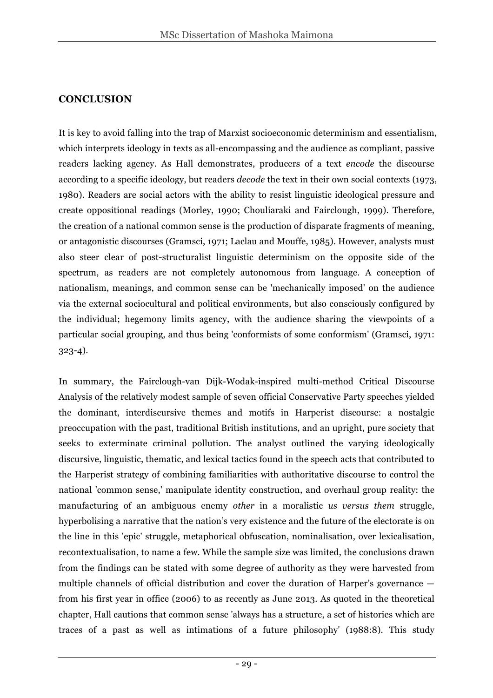## **CONCLUSION**

It is key to avoid falling into the trap of Marxist socioeconomic determinism and essentialism, which interprets ideology in texts as all-encompassing and the audience as compliant, passive readers lacking agency. As Hall demonstrates, producers of a text *encode* the discourse according to a specific ideology, but readers *decode* the text in their own social contexts (1973, 1980). Readers are social actors with the ability to resist linguistic ideological pressure and create oppositional readings (Morley, 1990; Chouliaraki and Fairclough, 1999). Therefore, the creation of a national common sense is the production of disparate fragments of meaning, or antagonistic discourses (Gramsci, 1971; Laclau and Mouffe, 1985). However, analysts must also steer clear of post-structuralist linguistic determinism on the opposite side of the spectrum, as readers are not completely autonomous from language. A conception of nationalism, meanings, and common sense can be 'mechanically imposed' on the audience via the external sociocultural and political environments, but also consciously configured by the individual; hegemony limits agency, with the audience sharing the viewpoints of a particular social grouping, and thus being 'conformists of some conformism' (Gramsci, 1971: 323-4).

In summary, the Fairclough-van Dijk-Wodak-inspired multi-method Critical Discourse Analysis of the relatively modest sample of seven official Conservative Party speeches yielded the dominant, interdiscursive themes and motifs in Harperist discourse: a nostalgic preoccupation with the past, traditional British institutions, and an upright, pure society that seeks to exterminate criminal pollution. The analyst outlined the varying ideologically discursive, linguistic, thematic, and lexical tactics found in the speech acts that contributed to the Harperist strategy of combining familiarities with authoritative discourse to control the national 'common sense,' manipulate identity construction, and overhaul group reality: the manufacturing of an ambiguous enemy *other* in a moralistic *us versus them* struggle, hyperbolising a narrative that the nation's very existence and the future of the electorate is on the line in this 'epic' struggle, metaphorical obfuscation, nominalisation, over lexicalisation, recontextualisation, to name a few. While the sample size was limited, the conclusions drawn from the findings can be stated with some degree of authority as they were harvested from multiple channels of official distribution and cover the duration of Harper's governance from his first year in office (2006) to as recently as June 2013. As quoted in the theoretical chapter, Hall cautions that common sense 'always has a structure, a set of histories which are traces of a past as well as intimations of a future philosophy' (1988:8). This study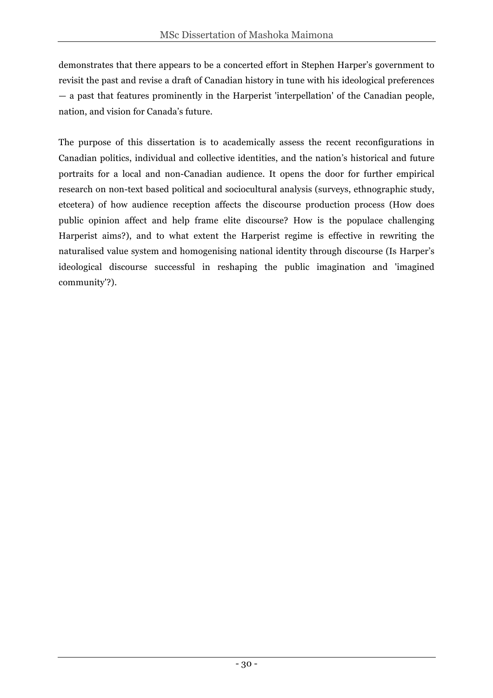demonstrates that there appears to be a concerted effort in Stephen Harper's government to revisit the past and revise a draft of Canadian history in tune with his ideological preferences — a past that features prominently in the Harperist 'interpellation' of the Canadian people, nation, and vision for Canada's future.

The purpose of this dissertation is to academically assess the recent reconfigurations in Canadian politics, individual and collective identities, and the nation's historical and future portraits for a local and non-Canadian audience. It opens the door for further empirical research on non-text based political and sociocultural analysis (surveys, ethnographic study, etcetera) of how audience reception affects the discourse production process (How does public opinion affect and help frame elite discourse? How is the populace challenging Harperist aims?), and to what extent the Harperist regime is effective in rewriting the naturalised value system and homogenising national identity through discourse (Is Harper's ideological discourse successful in reshaping the public imagination and 'imagined community'?).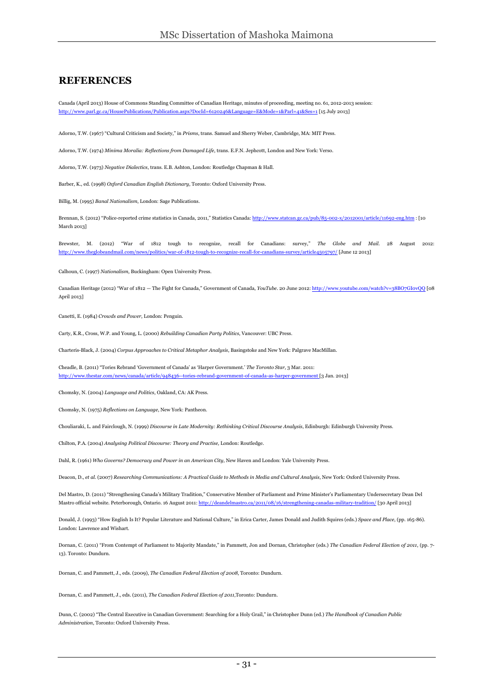#### **REFERENCES**

Canada (April 2013) House of Commons Standing Committee of Canadian Heritage, minutes of proceeding, meeting no. 61, 2012-2013 session: http://www.parl.gc.ca/HousePublications/Publication.aspx?DocId=6120246&Language=E&Mode=1&Parl=41&Ses=1 [15 July 2013]

Adorno, T.W. (1967) "Cultural Criticism and Society," in *Prisms*, trans. Samuel and Sherry Weber, Cambridge, MA: MIT Press.

Adorno, T.W. (1974) *Minima Moralia: Reflections from Damaged Life*, trans. E.F.N. Jephcott, London and New York: Verso.

Adorno, T.W. (1973) *Negative Dialectics*, trans. E.B. Ashton, London: Routledge Chapman & Hall.

Barber, K., ed. (1998) *Oxford Canadian English Dictionary*, Toronto: Oxford University Press.

Billig, M. (1995) *Banal Nationalism*, London: Sage Publications.

Brennan, S. (2012) "Police-reported crime statistics in Canada, 2011," Statistics Canada: http://www.statcan.gc.ca/pub/85-002-x/2012001/article/11692-eng.htm : [10 March 2013]

Brewster, M. (2012) "War of 1812 tough to recognize, recall for Canadians: survey," *The Globe and Mail*. 28 August 2012: http://www.theglobeandmail.com/news/politics/war-of-1812-tough-to-recognize-recall-for-canadians-survey/article4505797/ [June 12 2013]

Calhoun, C. (1997) *Nationalism*, Buckingham: Open University Press.

Canadian Heritage (2012) "War of 1812 — The Fight for Canada," Government of Canada, *YouTube*. 20 June 2012: http://www.youtube.com/watch?v=38BO7GI0vQQ [08 April 2013]

Canetti, E. (1984) *Crowds and Power*, London: Penguin.

Carty, K.R., Cross, W.P. and Young, L. (2000) *Rebuilding Canadian Party Politics*, Vancouver: UBC Press.

Charteris-Black, J. (2004) *Corpus Approaches to Critical Metaphor Analysis*, Basingstoke and New York: Palgrave MacMillan.

Cheadle, B. (2011) "Tories Rebrand 'Government of Canada' as 'Harper Government.' *The Toronto Star*, 3 Mar. 2011: http://www.thestar.com/news/canada/article/948436--tories-rebrand-government-of-canada-as-harper-government [3 Jan. 2013]

Chomsky, N. (2004) *Language and Politics*, Oakland, CA: AK Press.

Chomsky, N. (1975) *Reflections on Language*, New York: Pantheon.

Chouliaraki, L. and Fairclough, N. (1999) *Discourse in Late Modernity: Rethinking Critical Discourse Analysis*, Edinburgh: Edinburgh University Press.

Chilton, P.A. (2004) *Analysing Political Discourse: Theory and Practise,* London: Routledge.

Dahl, R. (1961) *Who Governs? Democracy and Power in an American City*, New Haven and London: Yale University Press.

Deacon, D., *et al.* (2007) *Researching Communications: A Practical Guide to Methods in Media and Cultural Analysis*, New York: Oxford University Press.

Del Mastro, D. (2011) "Strengthening Canada's Military Tradition," Conservative Member of Parliament and Prime Minister's Parliamentary Undersecretary Dean Del Mastro official website. Peterborough, Ontario. 16 August 2011: http://deandelmastro.ca/2011/08/16/strengthening-canadas-military-tradition/ [30 April 2013]

Donald, J. (1993) "How English Is It? Popular Literature and National Culture," in Erica Carter, James Donald and Judith Squires (eds.) *Space and Place*, (pp. 165-86). London: Lawrence and Wishart.

Dornan, C. (2011) "From Contempt of Parliament to Majority Mandate," in Pammett, Jon and Dornan, Christopher (eds.) *The Canadian Federal Election of 2011*, (pp. 7- 13). Toronto: Dundurn.

Dornan, C. and Pammett, J., eds. (2009), *The Canadian Federal Election of 2008*, Toronto: Dundurn.

Dornan, C. and Pammett, J., eds. (2011), *The Canadian Federal Election of 2011*,Toronto: Dundurn.

Dunn, C. (2002) "The Central Executive in Canadian Government: Searching for a Holy Grail," in Christopher Dunn (ed.) *The Handbook of Canadian Public Administration*, Toronto: Oxford University Press.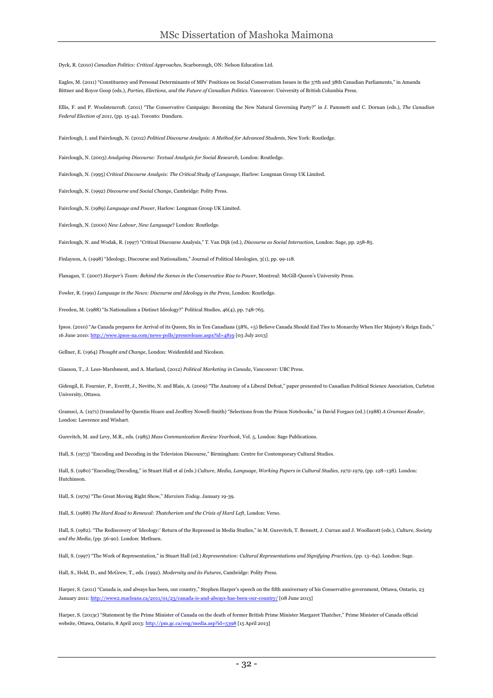Dyck, R. (2010) *Canadian Politics: Critical Approaches*, Scarborough, ON: Nelson Education Ltd.

Eagles, M. (2011) "Constituency and Personal Determinants of MPs' Positions on Social Conservatism Issues in the 37th and 38th Canadian Parliaments," in Amanda Bittner and Royce Goop (eds.), *Parties, Elections, and the Future of Canadian Politics*. Vancouver: University of British Columbia Press.

Ellis, F. and P. Woolstencroft. (2011) "The Conservative Campaign: Becoming the New Natural Governing Party?" in J. Pammett and C. Dornan (eds.), *The Canadian Federal Election of 2011*, (pp. 15-44). Toronto: Dundurn.

Fairclough, I. and Fairclough, N. (2012) *Political Discourse Analysis: A Method for Advanced Students*, New York: Routledge.

Fairclough, N. (2003) *Analysing Discourse: Textual Analysis for Social Research*, London: Routledge.

Fairclough, N. (1995) *Critical Discourse Analysis: The Critical Study of Language*, Harlow: Longman Group UK Limited.

Fairclough, N. (1992) *Discourse and Social Change*, Cambridge: Polity Press.

Fairclough, N. (1989) *Language and Power*, Harlow: Longman Group UK Limited.

Fairclough, N. (2000) *New Labour, New Language*? London: Routledge.

Fairclough, N. and Wodak, R. (1997) "Critical Discourse Analysis," T. Van Dijk (ed.), *Discourse as Social Interaction*, London: Sage, pp. 258-85.

Finlayson, A. (1998) "Ideology, Discourse and Nationalism," Journal of Political Ideologies, 3(1), pp. 99-118.

Flanagan, T. (2007) *Harper's Team: Behind the Scenes in the Conservative Rise to Power*, Montreal: McGill-Queen's University Press.

Fowler, R. (1991) *Language in the News: Discourse and Ideology in the Press*, London: Routledge.

Freeden, M. (1988) "Is Nationalism a Distinct Ideology?" Political Studies, 46(4), pp. 748-765.

Ipsos. (2010) "As Canada prepares for Arrival of its Queen, Six in Ten Canadians (58%, +5) Believe Canada Should End Ties to Monarchy When Her Majesty's Reign Ends," 16 June 2010: http://www.ipsos-na.com/news-polls/pressrelease.aspx?id=4819 [03 July 2013]

Gellner, E. (1964) *Thought and Change*, London: Weidenfeld and Nicolson.

Giasson, T., J. Lees-Marshment, and A. Marland, (2012) *Political Marketing in Canada*, Vancouver: UBC Press.

Gidengil, E. Fournier, P., Everitt, J., Nevitte, N. and Blais, A. (2009) "The Anatomy of a Liberal Defeat," paper presented to Canadian Political Science Association, Carleton University, Ottawa.

Gramsci, A. (1971) (translated by Quentin Hoare and Jeoffrey Nowell-Smith) "Selections from the Prison Notebooks," in David Forgacs (ed.) (1988) *A Gramsci Reader*, London: Lawrence and Wishart.

Gurevitch, M. and Levy, M.R., eds. (1985) *Mass Communication Review Yearbook*, Vol. 5, London: Sage Publications.

Hall, S. (1973) "Encoding and Decoding in the Television Discourse," Birmingham: Centre for Contemporary Cultural Studies.

Hall, S. (1980) "Encoding/Decoding," in Stuart Hall et al (eds.) *Culture, Media, Language, Working Papers in Cultural Studies, 1972-1979*, (pp. 128–138). London: Hutchinson.

Hall, S. (1979) "The Great Moving Right Show," *Marxism Today*. January 19-39.

Hall, S. (1988) *The Hard Road to Renewal: Thatcherism and the Crisis of Hard Left*, London: Verso.

Hall, S. (1982). "The Rediscovery of 'Ideology:' Return of the Repressed in Media Studies," in M. Gurevitch, T. Bennett, J. Curran and J. Woollacott (eds.), *Culture, Society and the Media*, (pp. 56-90). London: Methuen.

Hall, S. (1997) "The Work of Representation," in Stuart Hall (ed.) *Representation: Cultural Representations and Signifying Practices*, (pp. 13–64). London: Sage.

Hall, S., Held, D., and McGrew, T., eds. (1992). *Modernity and its Futures*, Cambridge: Polity Press.

Harper, S. (2011) "Canada is, and always has been, our country," Stephen Harper's speech on the fifth anniversary of his Conservative government, Ottawa, Ontario, 23 January 2011: http://www2.macleans.ca/2011/01/23/canada-is-and-always-has-been-our-country/ [08 June 2013]

Harper, S. (2013c) "Statement by the Prime Minister of Canada on the death of former British Prime Minister Margaret Thatcher," Prime Minister of Canada official website, Ottawa, Ontario, 8 April 2013: http://pm.gc.ca/eng/media.asp?id=5398 [15 April 2013]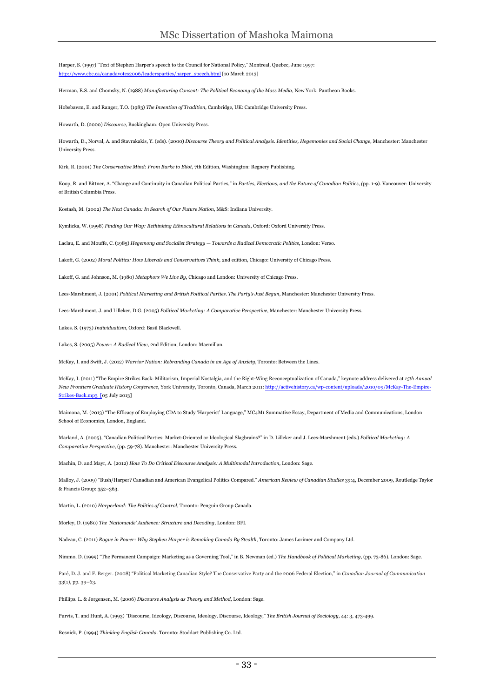Harper, S. (1997) "Text of Stephen Harper's speech to the Council for National Policy," Montreal, Quebec, June 1997: http://www.cbc.ca/canadavotes2006/leadersparties/harper\_speech.html [10 March 2013]

Herman, E.S. and Chomsky, N. (1988) *Manufacturing Consent: The Political Economy of the Mass Media*, New York: Pantheon Books.

Hobsbawm, E. and Ranger, T.O. (1983) *The Invention of Tradition*, Cambridge, UK: Cambridge University Press.

Howarth, D. (2000) *Discourse*, Buckingham: Open University Press.

Howarth, D., Norval, A. and Stavrakakis, Y. (eds). (2000) *Discourse Theory and Political Analysis. Identities, Hegemonies and Social Change*, Manchester: Manchester University Press.

Kirk, R. (2001) *The Conservative Mind: From Burke to Eliot*, 7th Edition, Washington: Regnery Publishing.

Koop, R. and Bittner, A. "Change and Continuity in Canadian Political Parties," in *Parties, Elections, and the Future of Canadian Politics*, *(*pp. 1-9). Vancouver: University of British Columbia Press.

Kostash, M. (2002) *The Next Canada: In Search of Our Future Nation*, M&S: Indiana University.

Kymlicka, W. (1998) *Finding Our Way: Rethinking Ethnocultural Relations in Canada*, Oxford: Oxford University Press.

Laclau, E. and Mouffe, C. (1985) *Hegemony and Socialist Strategy — Towards a Radical Democratic Politics*, London: Verso.

Lakoff, G. (2002) *Moral Politics: How Liberals and Conservatives Think*, 2nd edition, Chicago: University of Chicago Press.

Lakoff, G. and Johnson, M. (1980) *Metaphors We Live By*, Chicago and London: University of Chicago Press.

Lees-Marshment, J. (2001) *Political Marketing and British Political Parties. The Party's Just Begun*, Manchester: Manchester University Press.

Lees-Marshment, J. and Lilleker, D.G. (2005) *Political Marketing: A Comparative Perspective*, Manchester: Manchester University Press.

Lukes. S. (1973) *Individualism*, Oxford: Basil Blackwell.

Lukes, S. (2005) *Power: A Radical View*, 2nd Edition, London: Macmillan.

McKay, I. and Swift, J. (2012) *Warrior Nation: Rebranding Canada in an Age of Anxiety*, Toronto: Between the Lines.

McKay, I. (2011) "The Empire Strikes Back: Militarism, Imperial Nostalgia, and the Right-Wing Reconceptualization of Canada," keynote address delivered at *15th Annual New Frontiers Graduate History Conference*, York University, Toronto, Canada, March 2011: http://activehistory.ca/wp-content/uploads/2010/09/McKay-The-Empire-Strikes-Back.mp3 [05 July 2013]

Maimona, M. (2013) "The Efficacy of Employing CDA to Study 'Harperist' Language," MC4M1 Summative Essay, Department of Media and Communications, London School of Economics, London, England.

Marland, A. (2005), "Canadian Political Parties: Market-Oriented or Ideological Slagbrains?" in D. Lilleker and J. Lees-Marshment (eds.) *Political Marketing: A Comparative Perspective*, (pp. 59-78). Manchester: Manchester University Press.

Machin, D. and Mayr, A. (2012) *How To Do Critical Discourse Analysis: A Multimodal Introduction*, London: Sage.

Malloy, J. (2009) "Bush/Harper? Canadian and American Evangelical Politics Compared." *American Review of Canadian Studies* 39:4, December 2009, Routledge Taylor & Francis Group: 352–363.

Martin, L. (2010) *Harperland: The Politics of Control*, Toronto: Penguin Group Canada.

Morley, D. (1980) *The 'Nationwide' Audience: Structure and Decoding*, London: BFI.

Nadeau, C. (2011) *Rogue in Power: Why Stephen Harper is Remaking Canada By Stealth*, Toronto: James Lorimer and Company Ltd.

Nimmo, D. (1999) "The Permanent Campaign: Marketing as a Governing Tool," in B. Newman (ed.) *The Handbook of Political Marketing*, (pp. 73-86). London: Sage.

Paré, D. J. and F. Berger. (2008) "Political Marketing Canadian Style? The Conservative Party and the 2006 Federal Election," in *Canadian Journal of Communication* 33(1), pp. 39–63.

Phillips. L. & Jørgensen, M. (2006) *Discourse Analysis as Theory and Method*, London: Sage.

Purvis, T. and Hunt, A. (1993) *"*Discourse, Ideology, Discourse, Ideology, Discourse, Ideology," *The British Journal of Sociology*, 44: 3, 473-499.

Resnick, P. (1994) *Thinking English Canada*. Toronto: Stoddart Publishing Co. Ltd.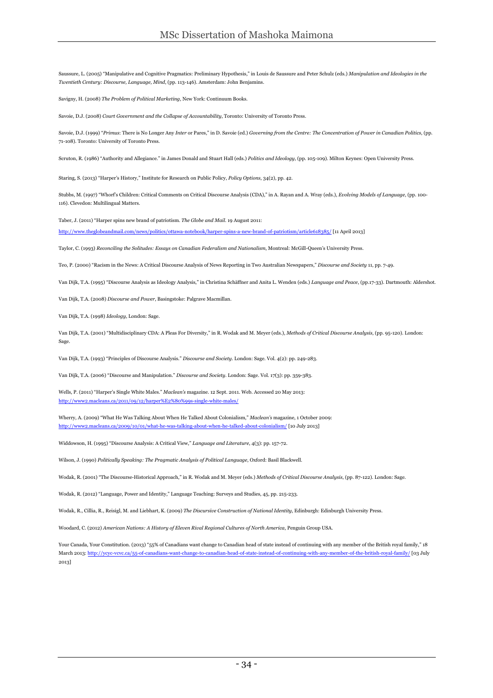Saussure, L. (2005) "Manipulative and Cognitive Pragmatics: Preliminary Hypothesis," in Louis de Saussure and Peter Schulz (eds.) *Manipulation and Ideologies in the Twentieth Century: Discourse, Language, Mind*, (pp. 113-146). Amsterdam: John Benjamins.

Savigny, H. (2008) *The Problem of Political Marketing*, New York: Continuum Books.

Savoie, D.J. (2008) *Court Government and the Collapse of Accountability*, Toronto: University of Toronto Press.

Savoie, D.J. (1999) "*Primus*: There is No Longer Any *Inter* or Pares," in D. Savoie (ed.) *Governing from the Centre: The Concentration of Power in Canadian Politics*, (pp. 71-108). Toronto: University of Toronto Press.

Scruton, R. (1986) "Authority and Allegiance." in James Donald and Stuart Hall (eds.) *Politics and Ideology*, (pp. 105-109). Milton Keynes: Open University Press.

Staring, S. (2013) "Harper's History," Institute for Research on Public Policy, *Policy Options*, 34(2), pp. 42.

Stubbs, M. (1997) "Whorf's Children: Critical Comments on Critical Discourse Analysis (CDA)," in A. Rayan and A. Wray (eds.), *Evolving Models of Language*, (pp. 100- 116). Clevedon: Multilingual Matters.

Taber, J. (2011) "Harper spins new brand of patriotism. *The Globe and Mail*. 19 August 2011:

http://www.theglobeandmail.com/news/politics/ottawa-notebook/harper-spins-a-new-brand-of-patriotism/article618385/ [11 April 2013]

Taylor, C. (1993) *Reconciling the Solitudes: Essays on Canadian Federalism and Nationalism*, Montreal: McGill-Queen's University Press.

Teo, P. (2000) "Racism in the News: A Critical Discourse Analysis of News Reporting in Two Australian Newspapers," *Discourse and Society* 11, pp. 7-49.

Van Dijk, T.A. (1995) "Discourse Analysis as Ideology Analysis," in Christina Schäffner and Anita L. Wenden (eds.) *Language and Peace*, (pp.17-33). Dartmouth: Aldershot.

Van Dijk, T.A. (2008) *Discourse and Power*, Basingstoke: Palgrave Macmillan.

Van Dijk, T.A. (1998) *Ideology*, London: Sage.

Van Dijk, T.A. (2001) "Multidisciplinary CDA: A Pleas For Diversity," in R. Wodak and M. Meyer (eds.), *Methods of Critical Discourse Analysis*, (pp. 95-120). London: Sage.

Van Dijk, T.A. (1993) "Principles of Discourse Analysis." *Discourse and Society*. London: Sage. Vol. 4(2): pp. 249-283.

Van Dijk, T.A. (2006) "Discourse and Manipulation." *Discourse and Society*. London: Sage. Vol. 17(3): pp. 359-383.

Wells, P. (2011) "Harper's Single White Males." *Maclean's* magazine. 12 Sept. 2011. Web. Accessed 20 May 2013: http://www2.macleans.ca/2011/09/12/harper%E2%80%99s-single-white-males/

Wherry, A. (2009) "What He Was Talking About When He Talked About Colonialism," *Maclean's* magazine, 1 October 2009: http://www2.macleans.ca/2009/10/01/what-he-was-talking-about-when-he-talked-about-colonialism/ [10 July 2013]

Widdowson, H. (1995) "Discourse Analysis: A Critical View," *Language and Literature*, 4(3): pp. 157-72.

Wilson, J. (1990) *Politically Speaking: The Pragmatic Analysis of Political Language*, Oxford: Basil Blackwell.

Wodak, R. (2001) "The Discourse-Historical Approach," in R. Wodak and M. Meyer (eds.) *Methods of Critical Discourse Analysis*, (pp. 87-122). London: Sage.

Wodak, R. (2012) "Language, Power and Identity," Language Teaching: Surveys and Studies, 45, pp. 215-233.

Wodak, R., Cillia, R., Reisigl, M. and Liebhart, K. (2009) *The Discursive Construction of National Identity*, Edinburgh: Edinburgh University Press.

Woodard, C. (2012) *American Nations: A History of Eleven Rival Regional Cultures of North America*, Penguin Group USA.

Your Canada, Your Constitution. (2013) "55% of Canadians want change to Canadian head of state instead of continuing with any member of the British royal family," 18 March 2013: http://ycyc-vcvc.ca/55-of-canadians-want-change-to-canadian-head-of-state-instead-of-continuing-with-any-member-of-the-british-royal-family/ [03 July 2013]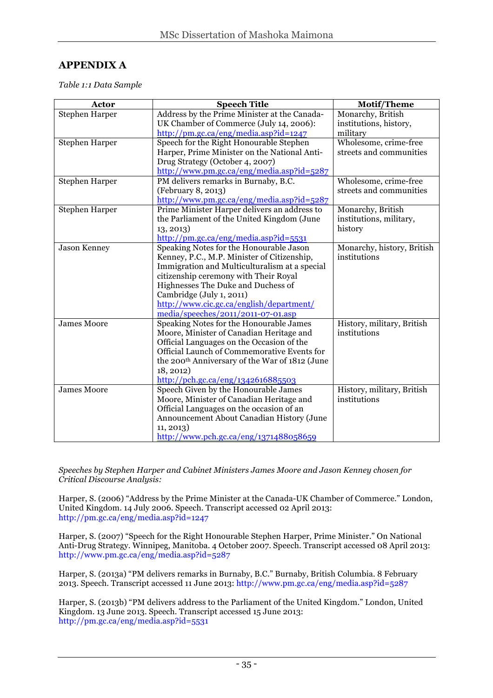## **APPENDIX A**

*Table 1:1 Data Sample*

| Address by the Prime Minister at the Canada-<br><b>Stephen Harper</b><br>Monarchy, British<br>UK Chamber of Commerce (July 14, 2006):<br>institutions, history,<br>http://pm.gc.ca/eng/media.asp?id=1247<br>military<br>Wholesome, crime-free<br>Speech for the Right Honourable Stephen<br><b>Stephen Harper</b><br>Harper, Prime Minister on the National Anti-<br>streets and communities<br>Drug Strategy (October 4, 2007)<br>http://www.pm.gc.ca/eng/media.asp?id=5287<br>PM delivers remarks in Burnaby, B.C.<br>Wholesome, crime-free<br><b>Stephen Harper</b><br>streets and communities<br>(February 8, 2013)<br>http://www.pm.gc.ca/eng/media.asp?id=5287<br>Prime Minister Harper delivers an address to<br>Monarchy, British<br>Stephen Harper<br>the Parliament of the United Kingdom (June<br>institutions, military,<br>history<br>13, 2013<br>$\frac{http://pm.gc.ca/eng/media.asp?id=5531}{http://pm.gc.ca/eng/media.asp?id=5531}$<br><b>Jason Kenney</b><br>Speaking Notes for the Honourable Jason<br>Monarchy, history, British<br>institutions<br>Kenney, P.C., M.P. Minister of Citizenship,<br>Immigration and Multiculturalism at a special<br>citizenship ceremony with Their Royal<br>Highnesses The Duke and Duchess of<br>Cambridge (July 1, 2011)<br>http://www.cic.gc.ca/english/department/<br>media/speeches/2011/2011-07-01.asp | Actor              | <b>Speech Title</b>                     | <b>Motif/Theme</b>         |
|-------------------------------------------------------------------------------------------------------------------------------------------------------------------------------------------------------------------------------------------------------------------------------------------------------------------------------------------------------------------------------------------------------------------------------------------------------------------------------------------------------------------------------------------------------------------------------------------------------------------------------------------------------------------------------------------------------------------------------------------------------------------------------------------------------------------------------------------------------------------------------------------------------------------------------------------------------------------------------------------------------------------------------------------------------------------------------------------------------------------------------------------------------------------------------------------------------------------------------------------------------------------------------------------------------------------------------------------------------------------|--------------------|-----------------------------------------|----------------------------|
|                                                                                                                                                                                                                                                                                                                                                                                                                                                                                                                                                                                                                                                                                                                                                                                                                                                                                                                                                                                                                                                                                                                                                                                                                                                                                                                                                                   |                    |                                         |                            |
|                                                                                                                                                                                                                                                                                                                                                                                                                                                                                                                                                                                                                                                                                                                                                                                                                                                                                                                                                                                                                                                                                                                                                                                                                                                                                                                                                                   |                    |                                         |                            |
|                                                                                                                                                                                                                                                                                                                                                                                                                                                                                                                                                                                                                                                                                                                                                                                                                                                                                                                                                                                                                                                                                                                                                                                                                                                                                                                                                                   |                    |                                         |                            |
|                                                                                                                                                                                                                                                                                                                                                                                                                                                                                                                                                                                                                                                                                                                                                                                                                                                                                                                                                                                                                                                                                                                                                                                                                                                                                                                                                                   |                    |                                         |                            |
|                                                                                                                                                                                                                                                                                                                                                                                                                                                                                                                                                                                                                                                                                                                                                                                                                                                                                                                                                                                                                                                                                                                                                                                                                                                                                                                                                                   |                    |                                         |                            |
|                                                                                                                                                                                                                                                                                                                                                                                                                                                                                                                                                                                                                                                                                                                                                                                                                                                                                                                                                                                                                                                                                                                                                                                                                                                                                                                                                                   |                    |                                         |                            |
|                                                                                                                                                                                                                                                                                                                                                                                                                                                                                                                                                                                                                                                                                                                                                                                                                                                                                                                                                                                                                                                                                                                                                                                                                                                                                                                                                                   |                    |                                         |                            |
|                                                                                                                                                                                                                                                                                                                                                                                                                                                                                                                                                                                                                                                                                                                                                                                                                                                                                                                                                                                                                                                                                                                                                                                                                                                                                                                                                                   |                    |                                         |                            |
|                                                                                                                                                                                                                                                                                                                                                                                                                                                                                                                                                                                                                                                                                                                                                                                                                                                                                                                                                                                                                                                                                                                                                                                                                                                                                                                                                                   |                    |                                         |                            |
|                                                                                                                                                                                                                                                                                                                                                                                                                                                                                                                                                                                                                                                                                                                                                                                                                                                                                                                                                                                                                                                                                                                                                                                                                                                                                                                                                                   |                    |                                         |                            |
|                                                                                                                                                                                                                                                                                                                                                                                                                                                                                                                                                                                                                                                                                                                                                                                                                                                                                                                                                                                                                                                                                                                                                                                                                                                                                                                                                                   |                    |                                         |                            |
|                                                                                                                                                                                                                                                                                                                                                                                                                                                                                                                                                                                                                                                                                                                                                                                                                                                                                                                                                                                                                                                                                                                                                                                                                                                                                                                                                                   |                    |                                         |                            |
|                                                                                                                                                                                                                                                                                                                                                                                                                                                                                                                                                                                                                                                                                                                                                                                                                                                                                                                                                                                                                                                                                                                                                                                                                                                                                                                                                                   |                    |                                         |                            |
|                                                                                                                                                                                                                                                                                                                                                                                                                                                                                                                                                                                                                                                                                                                                                                                                                                                                                                                                                                                                                                                                                                                                                                                                                                                                                                                                                                   |                    |                                         |                            |
|                                                                                                                                                                                                                                                                                                                                                                                                                                                                                                                                                                                                                                                                                                                                                                                                                                                                                                                                                                                                                                                                                                                                                                                                                                                                                                                                                                   |                    |                                         |                            |
|                                                                                                                                                                                                                                                                                                                                                                                                                                                                                                                                                                                                                                                                                                                                                                                                                                                                                                                                                                                                                                                                                                                                                                                                                                                                                                                                                                   |                    |                                         |                            |
|                                                                                                                                                                                                                                                                                                                                                                                                                                                                                                                                                                                                                                                                                                                                                                                                                                                                                                                                                                                                                                                                                                                                                                                                                                                                                                                                                                   |                    |                                         |                            |
|                                                                                                                                                                                                                                                                                                                                                                                                                                                                                                                                                                                                                                                                                                                                                                                                                                                                                                                                                                                                                                                                                                                                                                                                                                                                                                                                                                   |                    |                                         |                            |
|                                                                                                                                                                                                                                                                                                                                                                                                                                                                                                                                                                                                                                                                                                                                                                                                                                                                                                                                                                                                                                                                                                                                                                                                                                                                                                                                                                   |                    |                                         |                            |
|                                                                                                                                                                                                                                                                                                                                                                                                                                                                                                                                                                                                                                                                                                                                                                                                                                                                                                                                                                                                                                                                                                                                                                                                                                                                                                                                                                   |                    |                                         |                            |
|                                                                                                                                                                                                                                                                                                                                                                                                                                                                                                                                                                                                                                                                                                                                                                                                                                                                                                                                                                                                                                                                                                                                                                                                                                                                                                                                                                   |                    |                                         |                            |
|                                                                                                                                                                                                                                                                                                                                                                                                                                                                                                                                                                                                                                                                                                                                                                                                                                                                                                                                                                                                                                                                                                                                                                                                                                                                                                                                                                   |                    |                                         |                            |
|                                                                                                                                                                                                                                                                                                                                                                                                                                                                                                                                                                                                                                                                                                                                                                                                                                                                                                                                                                                                                                                                                                                                                                                                                                                                                                                                                                   | <b>James Moore</b> | Speaking Notes for the Honourable James | History, military, British |
| Moore, Minister of Canadian Heritage and<br>institutions                                                                                                                                                                                                                                                                                                                                                                                                                                                                                                                                                                                                                                                                                                                                                                                                                                                                                                                                                                                                                                                                                                                                                                                                                                                                                                          |                    |                                         |                            |
| Official Languages on the Occasion of the                                                                                                                                                                                                                                                                                                                                                                                                                                                                                                                                                                                                                                                                                                                                                                                                                                                                                                                                                                                                                                                                                                                                                                                                                                                                                                                         |                    |                                         |                            |
| Official Launch of Commemorative Events for                                                                                                                                                                                                                                                                                                                                                                                                                                                                                                                                                                                                                                                                                                                                                                                                                                                                                                                                                                                                                                                                                                                                                                                                                                                                                                                       |                    |                                         |                            |
| the 200 <sup>th</sup> Anniversary of the War of 1812 (June                                                                                                                                                                                                                                                                                                                                                                                                                                                                                                                                                                                                                                                                                                                                                                                                                                                                                                                                                                                                                                                                                                                                                                                                                                                                                                        |                    |                                         |                            |
| 18, 2012)                                                                                                                                                                                                                                                                                                                                                                                                                                                                                                                                                                                                                                                                                                                                                                                                                                                                                                                                                                                                                                                                                                                                                                                                                                                                                                                                                         |                    |                                         |                            |
| http://pch.gc.ca/eng/1342616885503<br><b>James Moore</b><br>History, military, British                                                                                                                                                                                                                                                                                                                                                                                                                                                                                                                                                                                                                                                                                                                                                                                                                                                                                                                                                                                                                                                                                                                                                                                                                                                                            |                    |                                         |                            |
| Speech Given by the Honourable James<br>Moore, Minister of Canadian Heritage and<br>institutions                                                                                                                                                                                                                                                                                                                                                                                                                                                                                                                                                                                                                                                                                                                                                                                                                                                                                                                                                                                                                                                                                                                                                                                                                                                                  |                    |                                         |                            |
| Official Languages on the occasion of an                                                                                                                                                                                                                                                                                                                                                                                                                                                                                                                                                                                                                                                                                                                                                                                                                                                                                                                                                                                                                                                                                                                                                                                                                                                                                                                          |                    |                                         |                            |
| Announcement About Canadian History (June                                                                                                                                                                                                                                                                                                                                                                                                                                                                                                                                                                                                                                                                                                                                                                                                                                                                                                                                                                                                                                                                                                                                                                                                                                                                                                                         |                    |                                         |                            |
| 11, 2013)                                                                                                                                                                                                                                                                                                                                                                                                                                                                                                                                                                                                                                                                                                                                                                                                                                                                                                                                                                                                                                                                                                                                                                                                                                                                                                                                                         |                    |                                         |                            |
| http://www.pch.gc.ca/eng/1371488058659                                                                                                                                                                                                                                                                                                                                                                                                                                                                                                                                                                                                                                                                                                                                                                                                                                                                                                                                                                                                                                                                                                                                                                                                                                                                                                                            |                    |                                         |                            |

*Speeches by Stephen Harper and Cabinet Ministers James Moore and Jason Kenney chosen for Critical Discourse Analysis:*

Harper, S. (2006) "Address by the Prime Minister at the Canada-UK Chamber of Commerce." London, United Kingdom. 14 July 2006. Speech. Transcript accessed 02 April 2013: http://pm.gc.ca/eng/media.asp?id=1247

Harper, S. (2007) "Speech for the Right Honourable Stephen Harper, Prime Minister." On National Anti-Drug Strategy. Winnipeg, Manitoba. 4 October 2007. Speech. Transcript accessed 08 April 2013: http://www.pm.gc.ca/eng/media.asp?id=5287

Harper, S. (2013a) "PM delivers remarks in Burnaby, B.C." Burnaby, British Columbia. 8 February 2013. Speech. Transcript accessed 11 June 2013: http://www.pm.gc.ca/eng/media.asp?id=5287

Harper, S. (2013b) "PM delivers address to the Parliament of the United Kingdom." London, United Kingdom. 13 June 2013. Speech. Transcript accessed 15 June 2013: http://pm.gc.ca/eng/media.asp?id=5531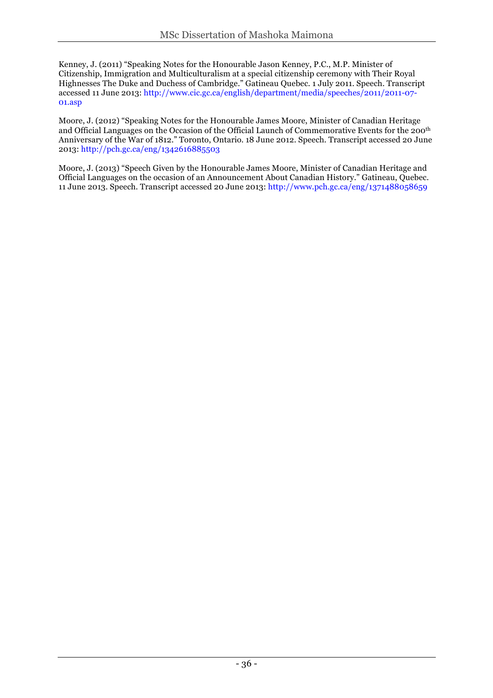Kenney, J. (2011) "Speaking Notes for the Honourable Jason Kenney, P.C., M.P. Minister of Citizenship, Immigration and Multiculturalism at a special citizenship ceremony with Their Royal Highnesses The Duke and Duchess of Cambridge." Gatineau Quebec. 1 July 2011. Speech. Transcript accessed 11 June 2013: http://www.cic.gc.ca/english/department/media/speeches/2011/2011-07- 01.asp

Moore, J. (2012) "Speaking Notes for the Honourable James Moore, Minister of Canadian Heritage and Official Languages on the Occasion of the Official Launch of Commemorative Events for the 200th Anniversary of the War of 1812." Toronto, Ontario. 18 June 2012. Speech. Transcript accessed 20 June 2013: http://pch.gc.ca/eng/1342616885503

Moore, J. (2013) "Speech Given by the Honourable James Moore, Minister of Canadian Heritage and Official Languages on the occasion of an Announcement About Canadian History." Gatineau, Quebec. 11 June 2013. Speech. Transcript accessed 20 June 2013: http://www.pch.gc.ca/eng/1371488058659